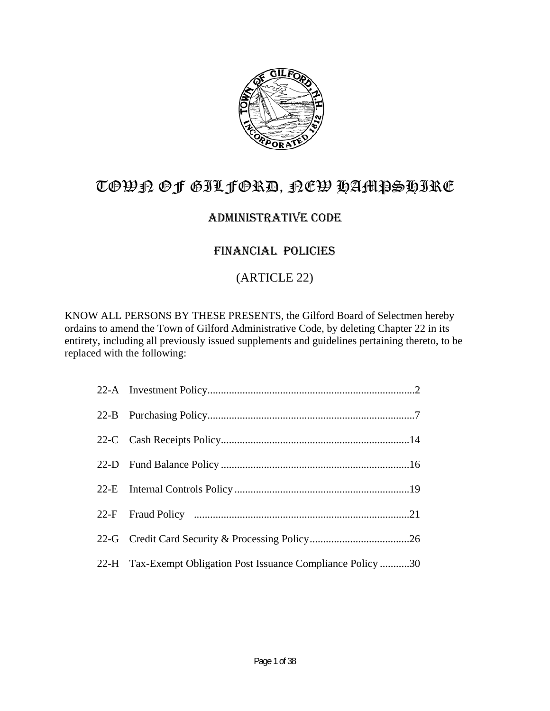

# TOWN OF GILFORD, NEW HAMPSHIRE

# ADMINISTRATIVE CODE

# FINANCIAL POLICIES

# (ARTICLE 22)

KNOW ALL PERSONS BY THESE PRESENTS, the Gilford Board of Selectmen hereby ordains to amend the Town of Gilford Administrative Code, by deleting Chapter 22 in its entirety, including all previously issued supplements and guidelines pertaining thereto, to be replaced with the following:

| 22-H Tax-Exempt Obligation Post Issuance Compliance Policy30 |
|--------------------------------------------------------------|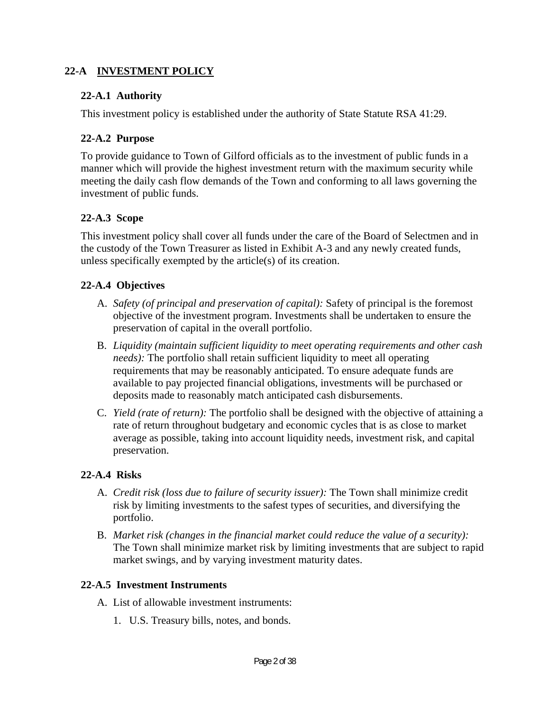### **22-A INVESTMENT POLICY**

#### **22-A.1 Authority**

This investment policy is established under the authority of State Statute RSA 41:29.

### **22-A.2 Purpose**

To provide guidance to Town of Gilford officials as to the investment of public funds in a manner which will provide the highest investment return with the maximum security while meeting the daily cash flow demands of the Town and conforming to all laws governing the investment of public funds.

### **22-A.3 Scope**

This investment policy shall cover all funds under the care of the Board of Selectmen and in the custody of the Town Treasurer as listed in Exhibit A-3 and any newly created funds, unless specifically exempted by the article(s) of its creation.

### **22-A.4 Objectives**

- A. *Safety (of principal and preservation of capital):* Safety of principal is the foremost objective of the investment program. Investments shall be undertaken to ensure the preservation of capital in the overall portfolio.
- B. *Liquidity (maintain sufficient liquidity to meet operating requirements and other cash needs):* The portfolio shall retain sufficient liquidity to meet all operating requirements that may be reasonably anticipated. To ensure adequate funds are available to pay projected financial obligations, investments will be purchased or deposits made to reasonably match anticipated cash disbursements.
- C. *Yield (rate of return):* The portfolio shall be designed with the objective of attaining a rate of return throughout budgetary and economic cycles that is as close to market average as possible, taking into account liquidity needs, investment risk, and capital preservation.

#### **22-A.4 Risks**

- A. *Credit risk (loss due to failure of security issuer):* The Town shall minimize credit risk by limiting investments to the safest types of securities, and diversifying the portfolio.
- B. *Market risk (changes in the financial market could reduce the value of a security):* The Town shall minimize market risk by limiting investments that are subject to rapid market swings, and by varying investment maturity dates.

#### **22-A.5 Investment Instruments**

- A. List of allowable investment instruments:
	- 1. U.S. Treasury bills, notes, and bonds.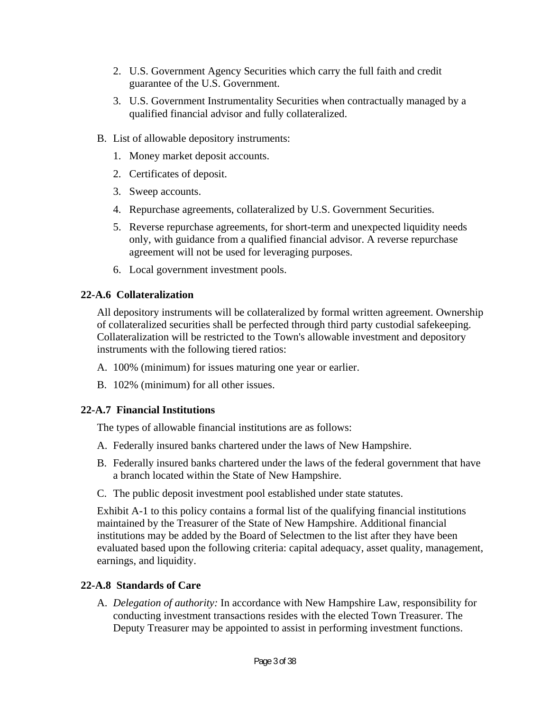- 2. U.S. Government Agency Securities which carry the full faith and credit guarantee of the U.S. Government.
- 3. U.S. Government Instrumentality Securities when contractually managed by a qualified financial advisor and fully collateralized.
- B. List of allowable depository instruments:
	- 1. Money market deposit accounts.
	- 2. Certificates of deposit.
	- 3. Sweep accounts.
	- 4. Repurchase agreements, collateralized by U.S. Government Securities.
	- 5. Reverse repurchase agreements, for short-term and unexpected liquidity needs only, with guidance from a qualified financial advisor. A reverse repurchase agreement will not be used for leveraging purposes.
	- 6. Local government investment pools.

### **22-A.6 Collateralization**

All depository instruments will be collateralized by formal written agreement. Ownership of collateralized securities shall be perfected through third party custodial safekeeping. Collateralization will be restricted to the Town's allowable investment and depository instruments with the following tiered ratios:

- A. 100% (minimum) for issues maturing one year or earlier.
- B. 102% (minimum) for all other issues.

### **22-A.7 Financial Institutions**

The types of allowable financial institutions are as follows:

- A. Federally insured banks chartered under the laws of New Hampshire.
- B. Federally insured banks chartered under the laws of the federal government that have a branch located within the State of New Hampshire.
- C. The public deposit investment pool established under state statutes.

Exhibit A-1 to this policy contains a formal list of the qualifying financial institutions maintained by the Treasurer of the State of New Hampshire. Additional financial institutions may be added by the Board of Selectmen to the list after they have been evaluated based upon the following criteria: capital adequacy, asset quality, management, earnings, and liquidity.

### **22-A.8 Standards of Care**

A. *Delegation of authority:* In accordance with New Hampshire Law, responsibility for conducting investment transactions resides with the elected Town Treasurer. The Deputy Treasurer may be appointed to assist in performing investment functions.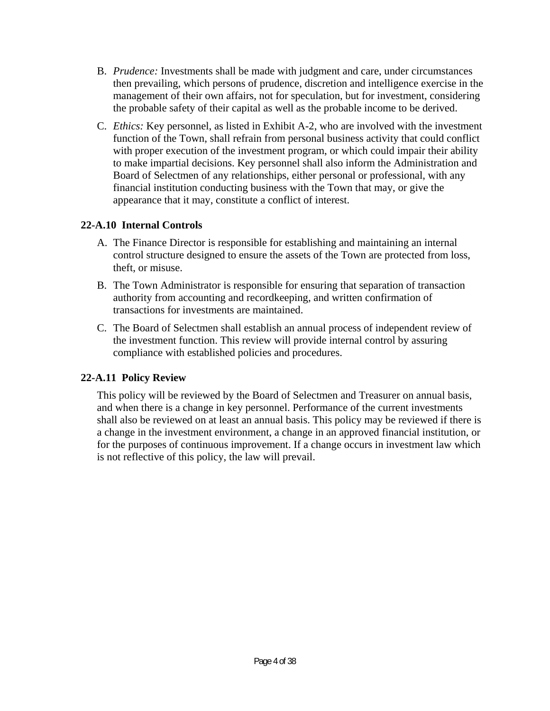- B. *Prudence:* Investments shall be made with judgment and care, under circumstances then prevailing, which persons of prudence, discretion and intelligence exercise in the management of their own affairs, not for speculation, but for investment, considering the probable safety of their capital as well as the probable income to be derived.
- C. *Ethics:* Key personnel, as listed in Exhibit A-2, who are involved with the investment function of the Town, shall refrain from personal business activity that could conflict with proper execution of the investment program, or which could impair their ability to make impartial decisions. Key personnel shall also inform the Administration and Board of Selectmen of any relationships, either personal or professional, with any financial institution conducting business with the Town that may, or give the appearance that it may, constitute a conflict of interest.

### **22-A.10 Internal Controls**

- A. The Finance Director is responsible for establishing and maintaining an internal control structure designed to ensure the assets of the Town are protected from loss, theft, or misuse.
- B. The Town Administrator is responsible for ensuring that separation of transaction authority from accounting and recordkeeping, and written confirmation of transactions for investments are maintained.
- C. The Board of Selectmen shall establish an annual process of independent review of the investment function. This review will provide internal control by assuring compliance with established policies and procedures.

### **22-A.11 Policy Review**

This policy will be reviewed by the Board of Selectmen and Treasurer on annual basis, and when there is a change in key personnel. Performance of the current investments shall also be reviewed on at least an annual basis. This policy may be reviewed if there is a change in the investment environment, a change in an approved financial institution, or for the purposes of continuous improvement. If a change occurs in investment law which is not reflective of this policy, the law will prevail.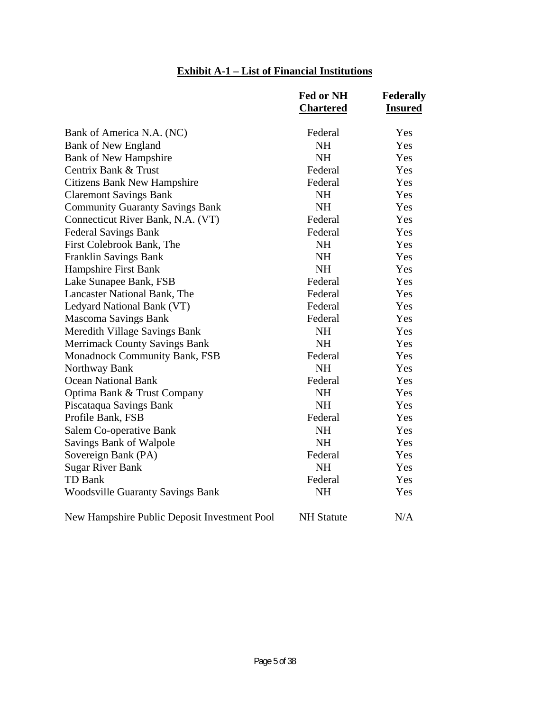# **Exhibit A-1 – List of Financial Institutions**

|                                              | Fed or NH         | Federally      |
|----------------------------------------------|-------------------|----------------|
|                                              | <b>Chartered</b>  | <b>Insured</b> |
| Bank of America N.A. (NC)                    | Federal           | Yes            |
| <b>Bank of New England</b>                   | <b>NH</b>         | Yes            |
| <b>Bank of New Hampshire</b>                 | <b>NH</b>         | Yes            |
| Centrix Bank & Trust                         | Federal           | Yes            |
| <b>Citizens Bank New Hampshire</b>           | Federal           | Yes            |
| <b>Claremont Savings Bank</b>                | <b>NH</b>         | Yes            |
| <b>Community Guaranty Savings Bank</b>       | <b>NH</b>         | Yes            |
| Connecticut River Bank, N.A. (VT)            | Federal           | Yes            |
| <b>Federal Savings Bank</b>                  | Federal           | Yes            |
| First Colebrook Bank, The                    | <b>NH</b>         | Yes            |
| Franklin Savings Bank                        | <b>NH</b>         | Yes            |
| Hampshire First Bank                         | <b>NH</b>         | Yes            |
| Lake Sunapee Bank, FSB                       | Federal           | Yes            |
| Lancaster National Bank, The                 | Federal           | Yes            |
| Ledyard National Bank (VT)                   | Federal           | Yes            |
| <b>Mascoma Savings Bank</b>                  | Federal           | Yes            |
| Meredith Village Savings Bank                | <b>NH</b>         | Yes            |
| <b>Merrimack County Savings Bank</b>         | <b>NH</b>         | Yes            |
| <b>Monadnock Community Bank, FSB</b>         | Federal           | Yes            |
| Northway Bank                                | <b>NH</b>         | Yes            |
| <b>Ocean National Bank</b>                   | Federal           | Yes            |
| Optima Bank & Trust Company                  | <b>NH</b>         | Yes            |
| Piscataqua Savings Bank                      | <b>NH</b>         | Yes            |
| Profile Bank, FSB                            | Federal           | Yes            |
| Salem Co-operative Bank                      | <b>NH</b>         | Yes            |
| Savings Bank of Walpole                      | <b>NH</b>         | Yes            |
| Sovereign Bank (PA)                          | Federal           | Yes            |
| <b>Sugar River Bank</b>                      | <b>NH</b>         | Yes            |
| <b>TD Bank</b>                               | Federal           | Yes            |
| <b>Woodsville Guaranty Savings Bank</b>      | <b>NH</b>         | Yes            |
| New Hampshire Public Deposit Investment Pool | <b>NH</b> Statute | N/A            |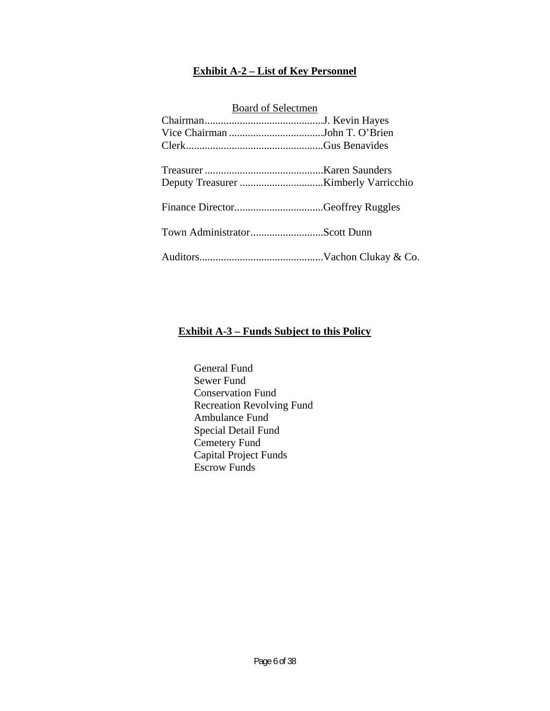### **Exhibit A-2 – List of Key Personnel**

| <b>Board of Selectmen</b> |  |  |
|---------------------------|--|--|
|                           |  |  |
|                           |  |  |
|                           |  |  |
|                           |  |  |
|                           |  |  |
|                           |  |  |
|                           |  |  |

### **Exhibit A-3 – Funds Subject to this Policy**

 General Fund Sewer Fund Conservation Fund Recreation Revolving Fund Ambulance Fund Special Detail Fund Cemetery Fund Capital Project Funds Escrow Funds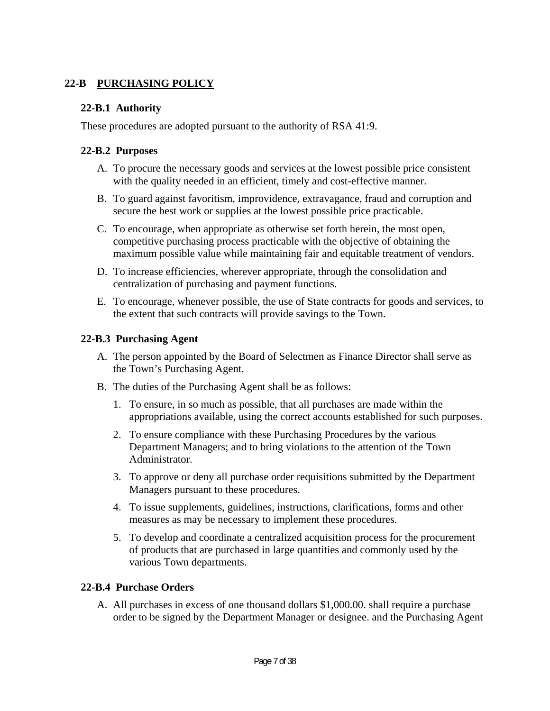### **22-B PURCHASING POLICY**

#### **22-B.1 Authority**

These procedures are adopted pursuant to the authority of RSA 41:9.

### **22-B.2 Purposes**

- A. To procure the necessary goods and services at the lowest possible price consistent with the quality needed in an efficient, timely and cost-effective manner.
- B. To guard against favoritism, improvidence, extravagance, fraud and corruption and secure the best work or supplies at the lowest possible price practicable.
- C. To encourage, when appropriate as otherwise set forth herein, the most open, competitive purchasing process practicable with the objective of obtaining the maximum possible value while maintaining fair and equitable treatment of vendors.
- D. To increase efficiencies, wherever appropriate, through the consolidation and centralization of purchasing and payment functions.
- E. To encourage, whenever possible, the use of State contracts for goods and services, to the extent that such contracts will provide savings to the Town.

### **22-B.3 Purchasing Agent**

- A. The person appointed by the Board of Selectmen as Finance Director shall serve as the Town's Purchasing Agent.
- B. The duties of the Purchasing Agent shall be as follows:
	- 1. To ensure, in so much as possible, that all purchases are made within the appropriations available, using the correct accounts established for such purposes.
	- 2. To ensure compliance with these Purchasing Procedures by the various Department Managers; and to bring violations to the attention of the Town Administrator.
	- 3. To approve or deny all purchase order requisitions submitted by the Department Managers pursuant to these procedures.
	- 4. To issue supplements, guidelines, instructions, clarifications, forms and other measures as may be necessary to implement these procedures.
	- 5. To develop and coordinate a centralized acquisition process for the procurement of products that are purchased in large quantities and commonly used by the various Town departments.

### **22-B.4 Purchase Orders**

A. All purchases in excess of one thousand dollars \$1,000.00. shall require a purchase order to be signed by the Department Manager or designee. and the Purchasing Agent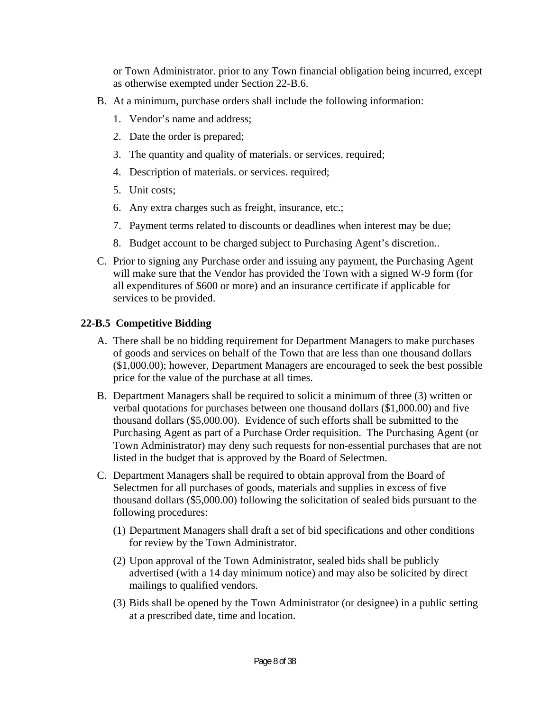or Town Administrator. prior to any Town financial obligation being incurred, except as otherwise exempted under Section 22-B.6.

- B. At a minimum, purchase orders shall include the following information:
	- 1. Vendor's name and address;
	- 2. Date the order is prepared;
	- 3. The quantity and quality of materials. or services. required;
	- 4. Description of materials. or services. required;
	- 5. Unit costs;
	- 6. Any extra charges such as freight, insurance, etc.;
	- 7. Payment terms related to discounts or deadlines when interest may be due;
	- 8. Budget account to be charged subject to Purchasing Agent's discretion..
- C. Prior to signing any Purchase order and issuing any payment, the Purchasing Agent will make sure that the Vendor has provided the Town with a signed W-9 form (for all expenditures of \$600 or more) and an insurance certificate if applicable for services to be provided.

### **22-B.5 Competitive Bidding**

- A. There shall be no bidding requirement for Department Managers to make purchases of goods and services on behalf of the Town that are less than one thousand dollars (\$1,000.00); however, Department Managers are encouraged to seek the best possible price for the value of the purchase at all times.
- B. Department Managers shall be required to solicit a minimum of three (3) written or verbal quotations for purchases between one thousand dollars (\$1,000.00) and five thousand dollars (\$5,000.00). Evidence of such efforts shall be submitted to the Purchasing Agent as part of a Purchase Order requisition. The Purchasing Agent (or Town Administrator) may deny such requests for non-essential purchases that are not listed in the budget that is approved by the Board of Selectmen.
- C. Department Managers shall be required to obtain approval from the Board of Selectmen for all purchases of goods, materials and supplies in excess of five thousand dollars (\$5,000.00) following the solicitation of sealed bids pursuant to the following procedures:
	- (1) Department Managers shall draft a set of bid specifications and other conditions for review by the Town Administrator.
	- (2) Upon approval of the Town Administrator, sealed bids shall be publicly advertised (with a 14 day minimum notice) and may also be solicited by direct mailings to qualified vendors.
	- (3) Bids shall be opened by the Town Administrator (or designee) in a public setting at a prescribed date, time and location.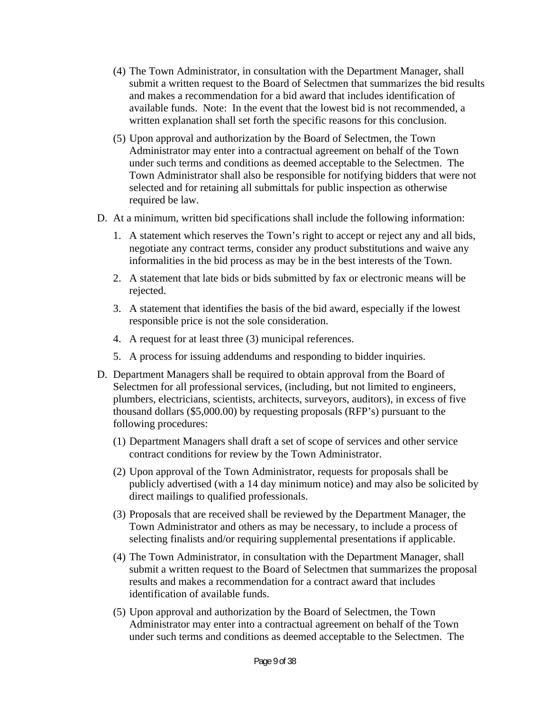- (4) The Town Administrator, in consultation with the Department Manager, shall submit a written request to the Board of Selectmen that summarizes the bid results and makes a recommendation for a bid award that includes identification of available funds. Note: In the event that the lowest bid is not recommended, a written explanation shall set forth the specific reasons for this conclusion.
- (5) Upon approval and authorization by the Board of Selectmen, the Town Administrator may enter into a contractual agreement on behalf of the Town under such terms and conditions as deemed acceptable to the Selectmen. The Town Administrator shall also be responsible for notifying bidders that were not selected and for retaining all submittals for public inspection as otherwise required be law.
- D. At a minimum, written bid specifications shall include the following information:
	- 1. A statement which reserves the Town's right to accept or reject any and all bids, negotiate any contract terms, consider any product substitutions and waive any informalities in the bid process as may be in the best interests of the Town.
	- 2. A statement that late bids or bids submitted by fax or electronic means will be rejected.
	- 3. A statement that identifies the basis of the bid award, especially if the lowest responsible price is not the sole consideration.
	- 4. A request for at least three (3) municipal references.
	- 5. A process for issuing addendums and responding to bidder inquiries.
- D. Department Managers shall be required to obtain approval from the Board of Selectmen for all professional services, (including, but not limited to engineers, plumbers, electricians, scientists, architects, surveyors, auditors), in excess of five thousand dollars (\$5,000.00) by requesting proposals (RFP's) pursuant to the following procedures:
	- (1) Department Managers shall draft a set of scope of services and other service contract conditions for review by the Town Administrator.
	- (2) Upon approval of the Town Administrator, requests for proposals shall be publicly advertised (with a 14 day minimum notice) and may also be solicited by direct mailings to qualified professionals.
	- (3) Proposals that are received shall be reviewed by the Department Manager, the Town Administrator and others as may be necessary, to include a process of selecting finalists and/or requiring supplemental presentations if applicable.
	- (4) The Town Administrator, in consultation with the Department Manager, shall submit a written request to the Board of Selectmen that summarizes the proposal results and makes a recommendation for a contract award that includes identification of available funds.
	- (5) Upon approval and authorization by the Board of Selectmen, the Town Administrator may enter into a contractual agreement on behalf of the Town under such terms and conditions as deemed acceptable to the Selectmen. The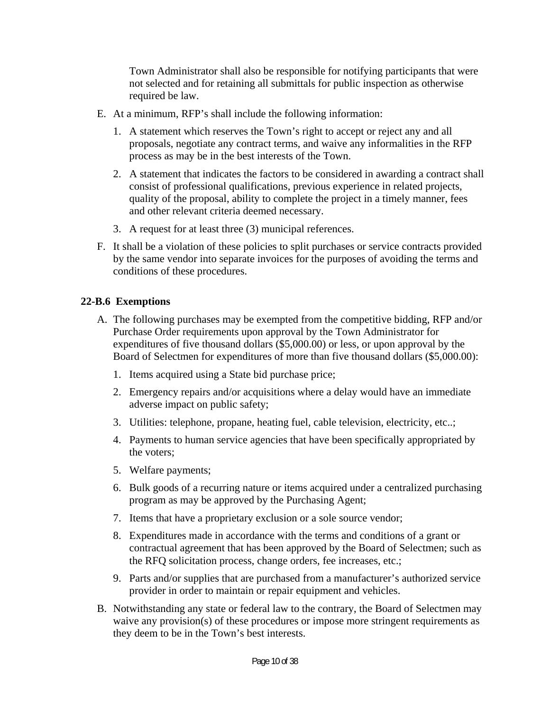Town Administrator shall also be responsible for notifying participants that were not selected and for retaining all submittals for public inspection as otherwise required be law.

- E. At a minimum, RFP's shall include the following information:
	- 1. A statement which reserves the Town's right to accept or reject any and all proposals, negotiate any contract terms, and waive any informalities in the RFP process as may be in the best interests of the Town.
	- 2. A statement that indicates the factors to be considered in awarding a contract shall consist of professional qualifications, previous experience in related projects, quality of the proposal, ability to complete the project in a timely manner, fees and other relevant criteria deemed necessary.
	- 3. A request for at least three (3) municipal references.
- F. It shall be a violation of these policies to split purchases or service contracts provided by the same vendor into separate invoices for the purposes of avoiding the terms and conditions of these procedures.

### **22-B.6 Exemptions**

- A. The following purchases may be exempted from the competitive bidding, RFP and/or Purchase Order requirements upon approval by the Town Administrator for expenditures of five thousand dollars (\$5,000.00) or less, or upon approval by the Board of Selectmen for expenditures of more than five thousand dollars (\$5,000.00):
	- 1. Items acquired using a State bid purchase price;
	- 2. Emergency repairs and/or acquisitions where a delay would have an immediate adverse impact on public safety;
	- 3. Utilities: telephone, propane, heating fuel, cable television, electricity, etc..;
	- 4. Payments to human service agencies that have been specifically appropriated by the voters;
	- 5. Welfare payments;
	- 6. Bulk goods of a recurring nature or items acquired under a centralized purchasing program as may be approved by the Purchasing Agent;
	- 7. Items that have a proprietary exclusion or a sole source vendor;
	- 8. Expenditures made in accordance with the terms and conditions of a grant or contractual agreement that has been approved by the Board of Selectmen; such as the RFQ solicitation process, change orders, fee increases, etc.;
	- 9. Parts and/or supplies that are purchased from a manufacturer's authorized service provider in order to maintain or repair equipment and vehicles.
- B. Notwithstanding any state or federal law to the contrary, the Board of Selectmen may waive any provision(s) of these procedures or impose more stringent requirements as they deem to be in the Town's best interests.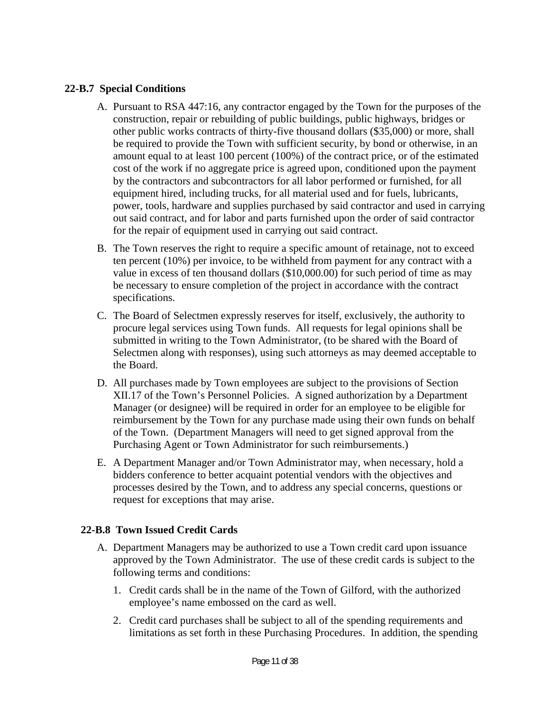#### **22-B.7 Special Conditions**

- A. Pursuant to RSA 447:16, any contractor engaged by the Town for the purposes of the construction, repair or rebuilding of public buildings, public highways, bridges or other public works contracts of thirty-five thousand dollars (\$35,000) or more, shall be required to provide the Town with sufficient security, by bond or otherwise, in an amount equal to at least 100 percent (100%) of the contract price, or of the estimated cost of the work if no aggregate price is agreed upon, conditioned upon the payment by the contractors and subcontractors for all labor performed or furnished, for all equipment hired, including trucks, for all material used and for fuels, lubricants, power, tools, hardware and supplies purchased by said contractor and used in carrying out said contract, and for labor and parts furnished upon the order of said contractor for the repair of equipment used in carrying out said contract.
- B. The Town reserves the right to require a specific amount of retainage, not to exceed ten percent (10%) per invoice, to be withheld from payment for any contract with a value in excess of ten thousand dollars (\$10,000.00) for such period of time as may be necessary to ensure completion of the project in accordance with the contract specifications.
- C. The Board of Selectmen expressly reserves for itself, exclusively, the authority to procure legal services using Town funds. All requests for legal opinions shall be submitted in writing to the Town Administrator, (to be shared with the Board of Selectmen along with responses), using such attorneys as may deemed acceptable to the Board.
- D. All purchases made by Town employees are subject to the provisions of Section XII.17 of the Town's Personnel Policies. A signed authorization by a Department Manager (or designee) will be required in order for an employee to be eligible for reimbursement by the Town for any purchase made using their own funds on behalf of the Town. (Department Managers will need to get signed approval from the Purchasing Agent or Town Administrator for such reimbursements.)
- E. A Department Manager and/or Town Administrator may, when necessary, hold a bidders conference to better acquaint potential vendors with the objectives and processes desired by the Town, and to address any special concerns, questions or request for exceptions that may arise.

### **22-B.8 Town Issued Credit Cards**

- A. Department Managers may be authorized to use a Town credit card upon issuance approved by the Town Administrator. The use of these credit cards is subject to the following terms and conditions:
	- 1. Credit cards shall be in the name of the Town of Gilford, with the authorized employee's name embossed on the card as well.
	- 2. Credit card purchases shall be subject to all of the spending requirements and limitations as set forth in these Purchasing Procedures. In addition, the spending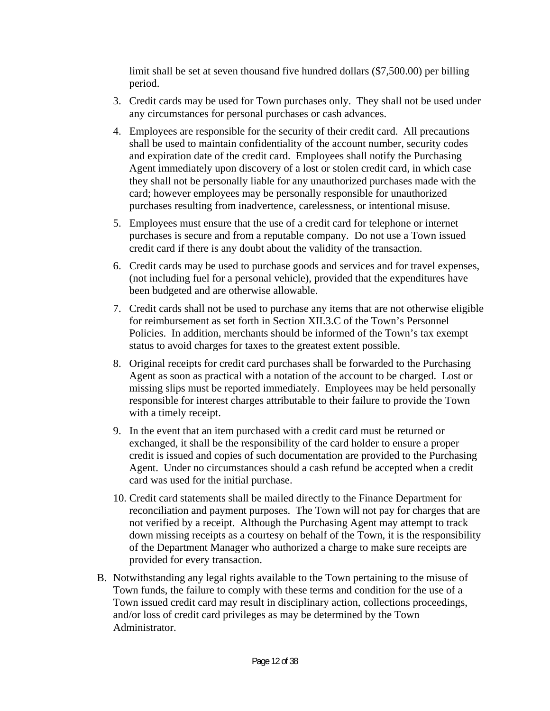limit shall be set at seven thousand five hundred dollars (\$7,500.00) per billing period.

- 3. Credit cards may be used for Town purchases only. They shall not be used under any circumstances for personal purchases or cash advances.
- 4. Employees are responsible for the security of their credit card. All precautions shall be used to maintain confidentiality of the account number, security codes and expiration date of the credit card. Employees shall notify the Purchasing Agent immediately upon discovery of a lost or stolen credit card, in which case they shall not be personally liable for any unauthorized purchases made with the card; however employees may be personally responsible for unauthorized purchases resulting from inadvertence, carelessness, or intentional misuse.
- 5. Employees must ensure that the use of a credit card for telephone or internet purchases is secure and from a reputable company. Do not use a Town issued credit card if there is any doubt about the validity of the transaction.
- 6. Credit cards may be used to purchase goods and services and for travel expenses, (not including fuel for a personal vehicle), provided that the expenditures have been budgeted and are otherwise allowable.
- 7. Credit cards shall not be used to purchase any items that are not otherwise eligible for reimbursement as set forth in Section XII.3.C of the Town's Personnel Policies. In addition, merchants should be informed of the Town's tax exempt status to avoid charges for taxes to the greatest extent possible.
- 8. Original receipts for credit card purchases shall be forwarded to the Purchasing Agent as soon as practical with a notation of the account to be charged. Lost or missing slips must be reported immediately. Employees may be held personally responsible for interest charges attributable to their failure to provide the Town with a timely receipt.
- 9. In the event that an item purchased with a credit card must be returned or exchanged, it shall be the responsibility of the card holder to ensure a proper credit is issued and copies of such documentation are provided to the Purchasing Agent. Under no circumstances should a cash refund be accepted when a credit card was used for the initial purchase.
- 10. Credit card statements shall be mailed directly to the Finance Department for reconciliation and payment purposes. The Town will not pay for charges that are not verified by a receipt. Although the Purchasing Agent may attempt to track down missing receipts as a courtesy on behalf of the Town, it is the responsibility of the Department Manager who authorized a charge to make sure receipts are provided for every transaction.
- B. Notwithstanding any legal rights available to the Town pertaining to the misuse of Town funds, the failure to comply with these terms and condition for the use of a Town issued credit card may result in disciplinary action, collections proceedings, and/or loss of credit card privileges as may be determined by the Town Administrator.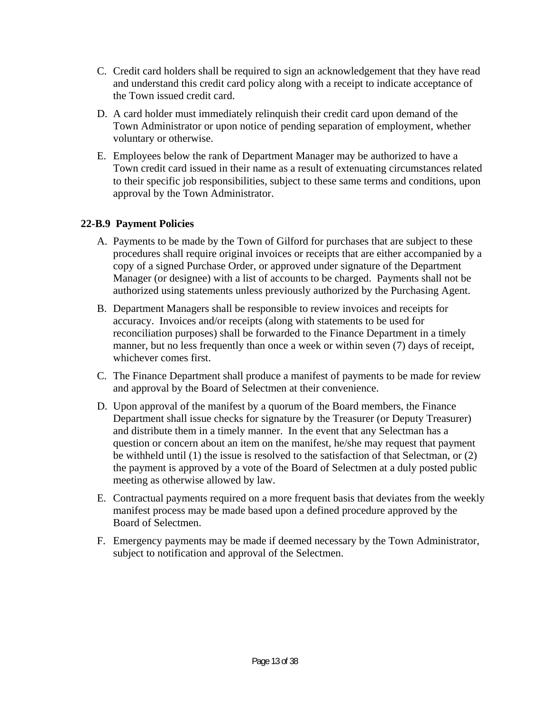- C. Credit card holders shall be required to sign an acknowledgement that they have read and understand this credit card policy along with a receipt to indicate acceptance of the Town issued credit card.
- D. A card holder must immediately relinquish their credit card upon demand of the Town Administrator or upon notice of pending separation of employment, whether voluntary or otherwise.
- E. Employees below the rank of Department Manager may be authorized to have a Town credit card issued in their name as a result of extenuating circumstances related to their specific job responsibilities, subject to these same terms and conditions, upon approval by the Town Administrator.

### **22-B.9 Payment Policies**

- A. Payments to be made by the Town of Gilford for purchases that are subject to these procedures shall require original invoices or receipts that are either accompanied by a copy of a signed Purchase Order, or approved under signature of the Department Manager (or designee) with a list of accounts to be charged. Payments shall not be authorized using statements unless previously authorized by the Purchasing Agent.
- B. Department Managers shall be responsible to review invoices and receipts for accuracy. Invoices and/or receipts (along with statements to be used for reconciliation purposes) shall be forwarded to the Finance Department in a timely manner, but no less frequently than once a week or within seven (7) days of receipt, whichever comes first.
- C. The Finance Department shall produce a manifest of payments to be made for review and approval by the Board of Selectmen at their convenience.
- D. Upon approval of the manifest by a quorum of the Board members, the Finance Department shall issue checks for signature by the Treasurer (or Deputy Treasurer) and distribute them in a timely manner. In the event that any Selectman has a question or concern about an item on the manifest, he/she may request that payment be withheld until (1) the issue is resolved to the satisfaction of that Selectman, or (2) the payment is approved by a vote of the Board of Selectmen at a duly posted public meeting as otherwise allowed by law.
- E. Contractual payments required on a more frequent basis that deviates from the weekly manifest process may be made based upon a defined procedure approved by the Board of Selectmen.
- F. Emergency payments may be made if deemed necessary by the Town Administrator, subject to notification and approval of the Selectmen.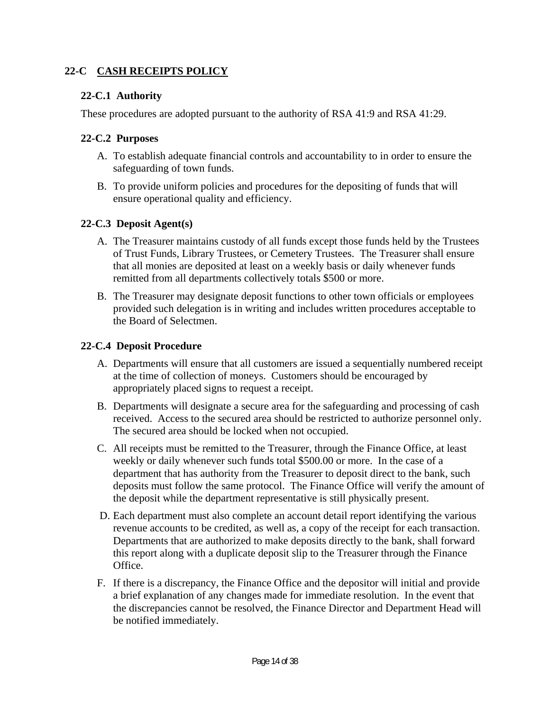### **22-C CASH RECEIPTS POLICY**

### **22-C.1 Authority**

These procedures are adopted pursuant to the authority of RSA 41:9 and RSA 41:29.

### **22-C.2 Purposes**

- A. To establish adequate financial controls and accountability to in order to ensure the safeguarding of town funds.
- B. To provide uniform policies and procedures for the depositing of funds that will ensure operational quality and efficiency.

### **22-C.3 Deposit Agent(s)**

- A. The Treasurer maintains custody of all funds except those funds held by the Trustees of Trust Funds, Library Trustees, or Cemetery Trustees. The Treasurer shall ensure that all monies are deposited at least on a weekly basis or daily whenever funds remitted from all departments collectively totals \$500 or more.
- B. The Treasurer may designate deposit functions to other town officials or employees provided such delegation is in writing and includes written procedures acceptable to the Board of Selectmen.

### **22-C.4 Deposit Procedure**

- A. Departments will ensure that all customers are issued a sequentially numbered receipt at the time of collection of moneys. Customers should be encouraged by appropriately placed signs to request a receipt.
- B. Departments will designate a secure area for the safeguarding and processing of cash received. Access to the secured area should be restricted to authorize personnel only. The secured area should be locked when not occupied.
- C. All receipts must be remitted to the Treasurer, through the Finance Office, at least weekly or daily whenever such funds total \$500.00 or more. In the case of a department that has authority from the Treasurer to deposit direct to the bank, such deposits must follow the same protocol. The Finance Office will verify the amount of the deposit while the department representative is still physically present.
- D. Each department must also complete an account detail report identifying the various revenue accounts to be credited, as well as, a copy of the receipt for each transaction. Departments that are authorized to make deposits directly to the bank, shall forward this report along with a duplicate deposit slip to the Treasurer through the Finance Office.
- F. If there is a discrepancy, the Finance Office and the depositor will initial and provide a brief explanation of any changes made for immediate resolution. In the event that the discrepancies cannot be resolved, the Finance Director and Department Head will be notified immediately.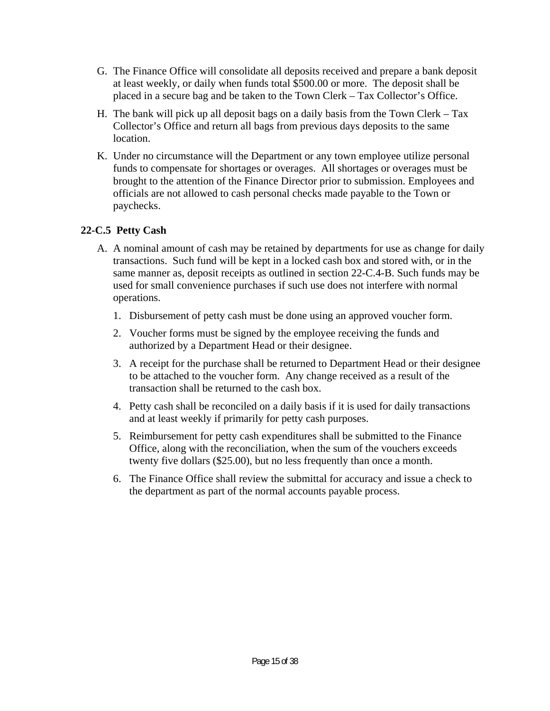- G. The Finance Office will consolidate all deposits received and prepare a bank deposit at least weekly, or daily when funds total \$500.00 or more. The deposit shall be placed in a secure bag and be taken to the Town Clerk – Tax Collector's Office.
- H. The bank will pick up all deposit bags on a daily basis from the Town Clerk Tax Collector's Office and return all bags from previous days deposits to the same location.
- K. Under no circumstance will the Department or any town employee utilize personal funds to compensate for shortages or overages. All shortages or overages must be brought to the attention of the Finance Director prior to submission. Employees and officials are not allowed to cash personal checks made payable to the Town or paychecks.

### **22-C.5 Petty Cash**

- A. A nominal amount of cash may be retained by departments for use as change for daily transactions. Such fund will be kept in a locked cash box and stored with, or in the same manner as, deposit receipts as outlined in section 22-C.4-B. Such funds may be used for small convenience purchases if such use does not interfere with normal operations.
	- 1. Disbursement of petty cash must be done using an approved voucher form.
	- 2. Voucher forms must be signed by the employee receiving the funds and authorized by a Department Head or their designee.
	- 3. A receipt for the purchase shall be returned to Department Head or their designee to be attached to the voucher form. Any change received as a result of the transaction shall be returned to the cash box.
	- 4. Petty cash shall be reconciled on a daily basis if it is used for daily transactions and at least weekly if primarily for petty cash purposes.
	- 5. Reimbursement for petty cash expenditures shall be submitted to the Finance Office, along with the reconciliation, when the sum of the vouchers exceeds twenty five dollars (\$25.00), but no less frequently than once a month.
	- 6. The Finance Office shall review the submittal for accuracy and issue a check to the department as part of the normal accounts payable process.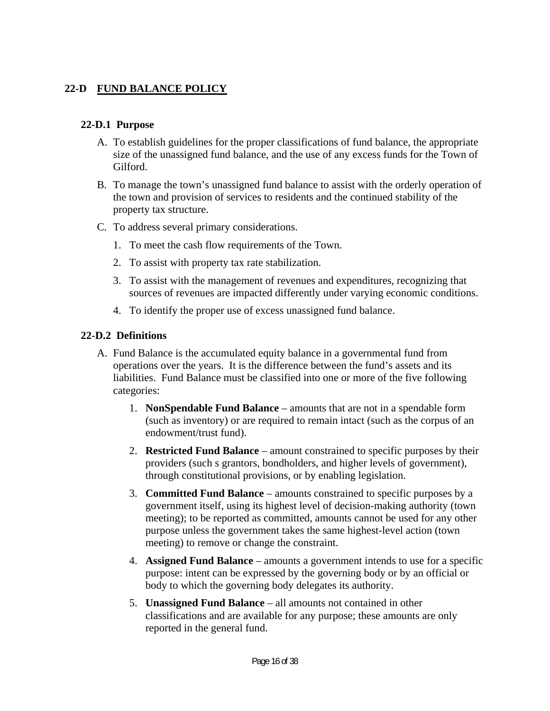### **22-D FUND BALANCE POLICY**

#### **22-D.1 Purpose**

- A. To establish guidelines for the proper classifications of fund balance, the appropriate size of the unassigned fund balance, and the use of any excess funds for the Town of Gilford.
- B. To manage the town's unassigned fund balance to assist with the orderly operation of the town and provision of services to residents and the continued stability of the property tax structure.
- C. To address several primary considerations.
	- 1. To meet the cash flow requirements of the Town.
	- 2. To assist with property tax rate stabilization.
	- 3. To assist with the management of revenues and expenditures, recognizing that sources of revenues are impacted differently under varying economic conditions.
	- 4. To identify the proper use of excess unassigned fund balance.

### **22-D.2 Definitions**

- A. Fund Balance is the accumulated equity balance in a governmental fund from operations over the years. It is the difference between the fund's assets and its liabilities. Fund Balance must be classified into one or more of the five following categories:
	- 1. **NonSpendable Fund Balance** amounts that are not in a spendable form (such as inventory) or are required to remain intact (such as the corpus of an endowment/trust fund).
	- 2. **Restricted Fund Balance** amount constrained to specific purposes by their providers (such s grantors, bondholders, and higher levels of government), through constitutional provisions, or by enabling legislation.
	- 3. **Committed Fund Balance** amounts constrained to specific purposes by a government itself, using its highest level of decision-making authority (town meeting); to be reported as committed, amounts cannot be used for any other purpose unless the government takes the same highest-level action (town meeting) to remove or change the constraint.
	- 4. **Assigned Fund Balance** amounts a government intends to use for a specific purpose: intent can be expressed by the governing body or by an official or body to which the governing body delegates its authority.
	- 5. **Unassigned Fund Balance** all amounts not contained in other classifications and are available for any purpose; these amounts are only reported in the general fund.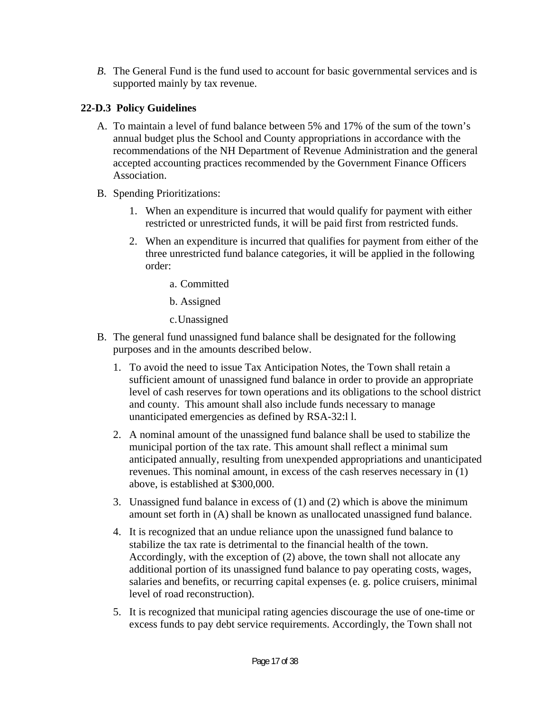*B*. The General Fund is the fund used to account for basic governmental services and is supported mainly by tax revenue.

## **22-D.3 Policy Guidelines**

- A. To maintain a level of fund balance between 5% and 17% of the sum of the town's annual budget plus the School and County appropriations in accordance with the recommendations of the NH Department of Revenue Administration and the general accepted accounting practices recommended by the Government Finance Officers Association.
- B. Spending Prioritizations:
	- 1. When an expenditure is incurred that would qualify for payment with either restricted or unrestricted funds, it will be paid first from restricted funds.
	- 2. When an expenditure is incurred that qualifies for payment from either of the three unrestricted fund balance categories, it will be applied in the following order:
		- a. Committed
		- b. Assigned
		- c.Unassigned
- B. The general fund unassigned fund balance shall be designated for the following purposes and in the amounts described below.
	- 1. To avoid the need to issue Tax Anticipation Notes, the Town shall retain a sufficient amount of unassigned fund balance in order to provide an appropriate level of cash reserves for town operations and its obligations to the school district and county. This amount shall also include funds necessary to manage unanticipated emergencies as defined by RSA-32:l l.
	- 2. A nominal amount of the unassigned fund balance shall be used to stabilize the municipal portion of the tax rate. This amount shall reflect a minimal sum anticipated annually, resulting from unexpended appropriations and unanticipated revenues. This nominal amount, in excess of the cash reserves necessary in (1) above, is established at \$300,000.
	- 3. Unassigned fund balance in excess of (1) and (2) which is above the minimum amount set forth in (A) shall be known as unallocated unassigned fund balance.
	- 4. It is recognized that an undue reliance upon the unassigned fund balance to stabilize the tax rate is detrimental to the financial health of the town. Accordingly, with the exception of (2) above, the town shall not allocate any additional portion of its unassigned fund balance to pay operating costs, wages, salaries and benefits, or recurring capital expenses (e. g. police cruisers, minimal level of road reconstruction).
	- 5. It is recognized that municipal rating agencies discourage the use of one-time or excess funds to pay debt service requirements. Accordingly, the Town shall not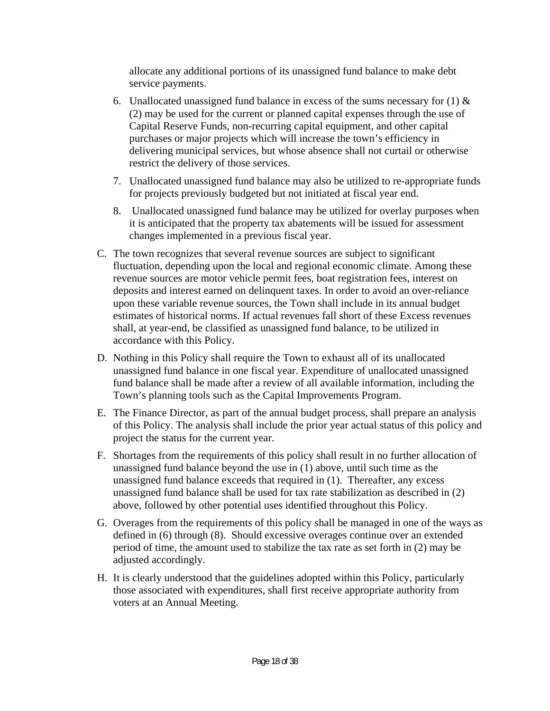allocate any additional portions of its unassigned fund balance to make debt service payments.

- 6. Unallocated unassigned fund balance in excess of the sums necessary for (1)  $\&$ (2) may be used for the current or planned capital expenses through the use of Capital Reserve Funds, non-recurring capital equipment, and other capital purchases or major projects which will increase the town's efficiency in delivering municipal services, but whose absence shall not curtail or otherwise restrict the delivery of those services.
- 7. Unallocated unassigned fund balance may also be utilized to re-appropriate funds for projects previously budgeted but not initiated at fiscal year end.
- 8. Unallocated unassigned fund balance may be utilized for overlay purposes when it is anticipated that the property tax abatements will be issued for assessment changes implemented in a previous fiscal year.
- C. The town recognizes that several revenue sources are subject to significant fluctuation, depending upon the local and regional economic climate. Among these revenue sources are motor vehicle permit fees, boat registration fees, interest on deposits and interest earned on delinquent taxes. In order to avoid an over-reliance upon these variable revenue sources, the Town shall include in its annual budget estimates of historical norms. If actual revenues fall short of these Excess revenues shall, at year-end, be classified as unassigned fund balance, to be utilized in accordance with this Policy.
- D. Nothing in this Policy shall require the Town to exhaust all of its unallocated unassigned fund balance in one fiscal year. Expenditure of unallocated unassigned fund balance shall be made after a review of all available information, including the Town's planning tools such as the Capital Improvements Program.
- E. The Finance Director, as part of the annual budget process, shall prepare an analysis of this Policy. The analysis shall include the prior year actual status of this policy and project the status for the current year.
- F. Shortages from the requirements of this policy shall result in no further allocation of unassigned fund balance beyond the use in (1) above, until such time as the unassigned fund balance exceeds that required in (1). Thereafter, any excess unassigned fund balance shall be used for tax rate stabilization as described in (2) above, followed by other potential uses identified throughout this Policy.
- G. Overages from the requirements of this policy shall be managed in one of the ways as defined in (6) through (8). Should excessive overages continue over an extended period of time, the amount used to stabilize the tax rate as set forth in (2) may be adjusted accordingly.
- H. It is clearly understood that the guidelines adopted within this Policy, particularly those associated with expenditures, shall first receive appropriate authority from voters at an Annual Meeting.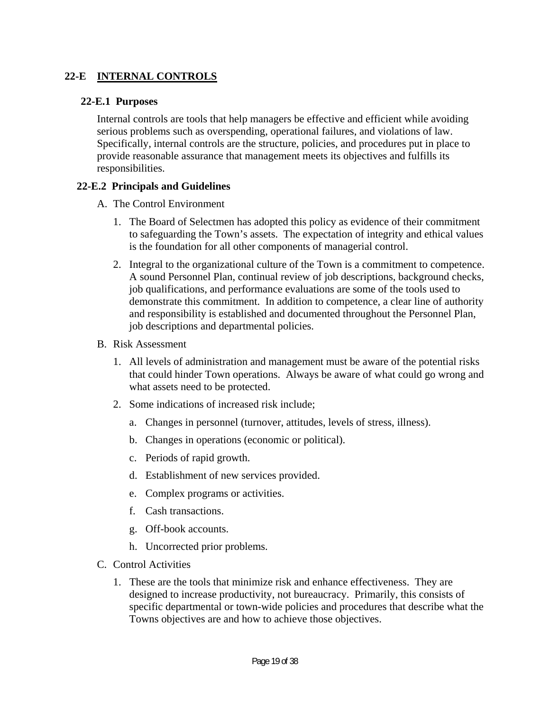### **22-E INTERNAL CONTROLS**

#### **22-E.1 Purposes**

Internal controls are tools that help managers be effective and efficient while avoiding serious problems such as overspending, operational failures, and violations of law. Specifically, internal controls are the structure, policies, and procedures put in place to provide reasonable assurance that management meets its objectives and fulfills its responsibilities.

#### **22-E.2 Principals and Guidelines**

- A. The Control Environment
	- 1. The Board of Selectmen has adopted this policy as evidence of their commitment to safeguarding the Town's assets. The expectation of integrity and ethical values is the foundation for all other components of managerial control.
	- 2. Integral to the organizational culture of the Town is a commitment to competence. A sound Personnel Plan, continual review of job descriptions, background checks, job qualifications, and performance evaluations are some of the tools used to demonstrate this commitment. In addition to competence, a clear line of authority and responsibility is established and documented throughout the Personnel Plan, job descriptions and departmental policies.
- B. Risk Assessment
	- 1. All levels of administration and management must be aware of the potential risks that could hinder Town operations. Always be aware of what could go wrong and what assets need to be protected.
	- 2. Some indications of increased risk include;
		- a. Changes in personnel (turnover, attitudes, levels of stress, illness).
		- b. Changes in operations (economic or political).
		- c. Periods of rapid growth.
		- d. Establishment of new services provided.
		- e. Complex programs or activities.
		- f. Cash transactions.
		- g. Off-book accounts.
		- h. Uncorrected prior problems.
- C. Control Activities
	- 1. These are the tools that minimize risk and enhance effectiveness. They are designed to increase productivity, not bureaucracy. Primarily, this consists of specific departmental or town-wide policies and procedures that describe what the Towns objectives are and how to achieve those objectives.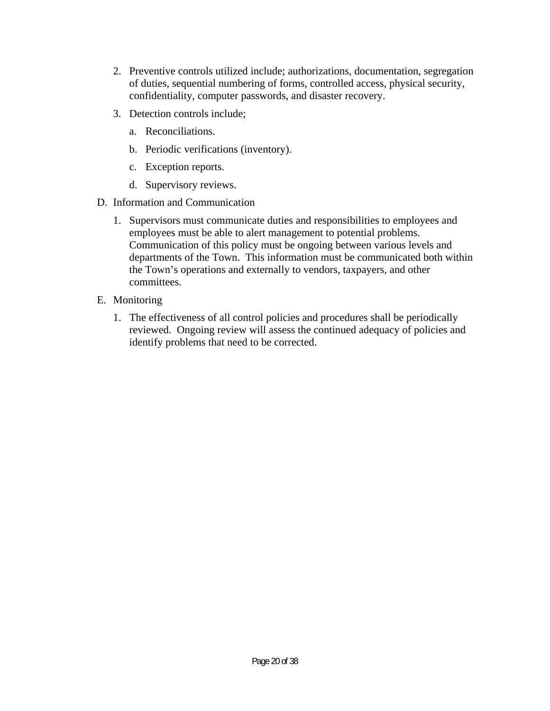- 2. Preventive controls utilized include; authorizations, documentation, segregation of duties, sequential numbering of forms, controlled access, physical security, confidentiality, computer passwords, and disaster recovery.
- 3. Detection controls include;
	- a. Reconciliations.
	- b. Periodic verifications (inventory).
	- c. Exception reports.
	- d. Supervisory reviews.
- D. Information and Communication
	- 1. Supervisors must communicate duties and responsibilities to employees and employees must be able to alert management to potential problems. Communication of this policy must be ongoing between various levels and departments of the Town. This information must be communicated both within the Town's operations and externally to vendors, taxpayers, and other committees.
- E. Monitoring
	- 1. The effectiveness of all control policies and procedures shall be periodically reviewed. Ongoing review will assess the continued adequacy of policies and identify problems that need to be corrected.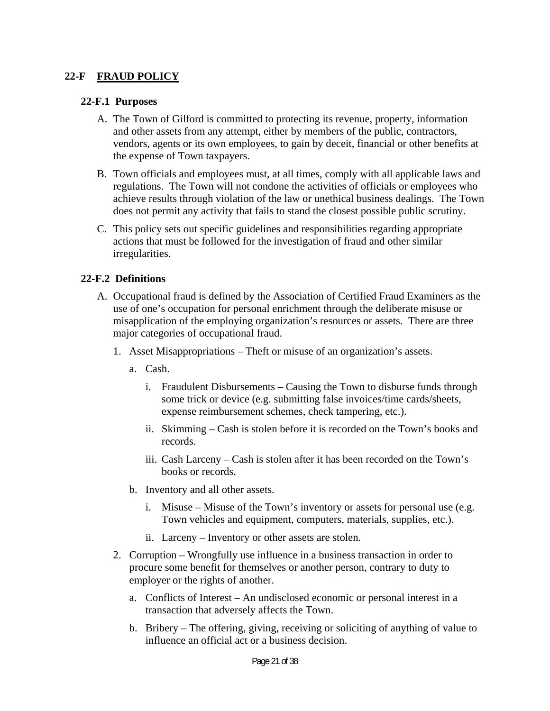### **22-F FRAUD POLICY**

#### **22-F.1 Purposes**

- A. The Town of Gilford is committed to protecting its revenue, property, information and other assets from any attempt, either by members of the public, contractors, vendors, agents or its own employees, to gain by deceit, financial or other benefits at the expense of Town taxpayers.
- B. Town officials and employees must, at all times, comply with all applicable laws and regulations. The Town will not condone the activities of officials or employees who achieve results through violation of the law or unethical business dealings. The Town does not permit any activity that fails to stand the closest possible public scrutiny.
- C. This policy sets out specific guidelines and responsibilities regarding appropriate actions that must be followed for the investigation of fraud and other similar irregularities.

#### **22-F.2 Definitions**

- A. Occupational fraud is defined by the Association of Certified Fraud Examiners as the use of one's occupation for personal enrichment through the deliberate misuse or misapplication of the employing organization's resources or assets. There are three major categories of occupational fraud.
	- 1. Asset Misappropriations Theft or misuse of an organization's assets.
		- a. Cash.
			- i. Fraudulent Disbursements Causing the Town to disburse funds through some trick or device (e.g. submitting false invoices/time cards/sheets, expense reimbursement schemes, check tampering, etc.).
			- ii. Skimming Cash is stolen before it is recorded on the Town's books and records.
			- iii. Cash Larceny Cash is stolen after it has been recorded on the Town's books or records.
		- b. Inventory and all other assets.
			- i. Misuse Misuse of the Town's inventory or assets for personal use (e.g. Town vehicles and equipment, computers, materials, supplies, etc.).
			- ii. Larceny Inventory or other assets are stolen.
	- 2. Corruption Wrongfully use influence in a business transaction in order to procure some benefit for themselves or another person, contrary to duty to employer or the rights of another.
		- a. Conflicts of Interest An undisclosed economic or personal interest in a transaction that adversely affects the Town.
		- b. Bribery The offering, giving, receiving or soliciting of anything of value to influence an official act or a business decision.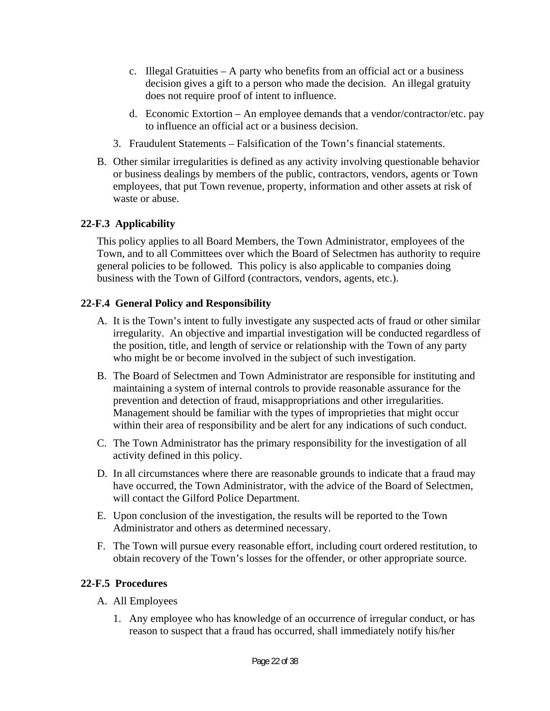- c. Illegal Gratuities A party who benefits from an official act or a business decision gives a gift to a person who made the decision. An illegal gratuity does not require proof of intent to influence.
- d. Economic Extortion An employee demands that a vendor/contractor/etc. pay to influence an official act or a business decision.
- 3. Fraudulent Statements Falsification of the Town's financial statements.
- B. Other similar irregularities is defined as any activity involving questionable behavior or business dealings by members of the public, contractors, vendors, agents or Town employees, that put Town revenue, property, information and other assets at risk of waste or abuse.

### **22-F.3 Applicability**

This policy applies to all Board Members, the Town Administrator, employees of the Town, and to all Committees over which the Board of Selectmen has authority to require general policies to be followed. This policy is also applicable to companies doing business with the Town of Gilford (contractors, vendors, agents, etc.).

### **22-F.4 General Policy and Responsibility**

- A. It is the Town's intent to fully investigate any suspected acts of fraud or other similar irregularity. An objective and impartial investigation will be conducted regardless of the position, title, and length of service or relationship with the Town of any party who might be or become involved in the subject of such investigation.
- B. The Board of Selectmen and Town Administrator are responsible for instituting and maintaining a system of internal controls to provide reasonable assurance for the prevention and detection of fraud, misappropriations and other irregularities. Management should be familiar with the types of improprieties that might occur within their area of responsibility and be alert for any indications of such conduct.
- C. The Town Administrator has the primary responsibility for the investigation of all activity defined in this policy.
- D. In all circumstances where there are reasonable grounds to indicate that a fraud may have occurred, the Town Administrator, with the advice of the Board of Selectmen, will contact the Gilford Police Department.
- E. Upon conclusion of the investigation, the results will be reported to the Town Administrator and others as determined necessary.
- F. The Town will pursue every reasonable effort, including court ordered restitution, to obtain recovery of the Town's losses for the offender, or other appropriate source.

### **22-F.5 Procedures**

- A. All Employees
	- 1. Any employee who has knowledge of an occurrence of irregular conduct, or has reason to suspect that a fraud has occurred, shall immediately notify his/her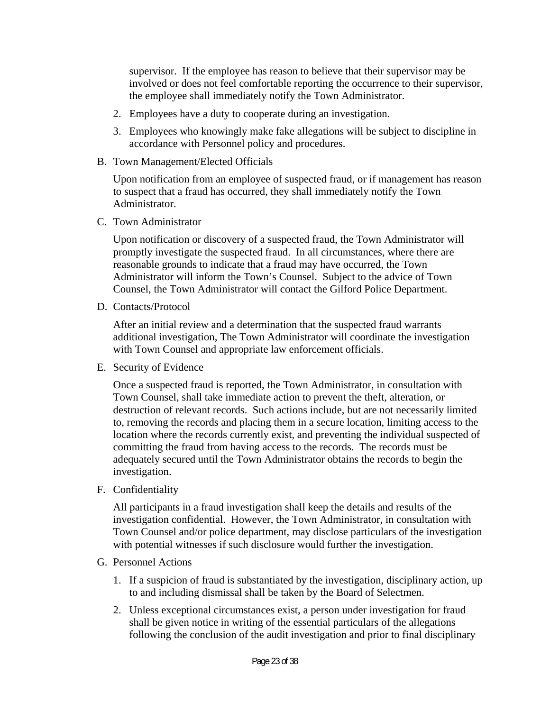supervisor. If the employee has reason to believe that their supervisor may be involved or does not feel comfortable reporting the occurrence to their supervisor, the employee shall immediately notify the Town Administrator.

- 2. Employees have a duty to cooperate during an investigation.
- 3. Employees who knowingly make fake allegations will be subject to discipline in accordance with Personnel policy and procedures.
- B. Town Management/Elected Officials

Upon notification from an employee of suspected fraud, or if management has reason to suspect that a fraud has occurred, they shall immediately notify the Town Administrator.

C. Town Administrator

Upon notification or discovery of a suspected fraud, the Town Administrator will promptly investigate the suspected fraud. In all circumstances, where there are reasonable grounds to indicate that a fraud may have occurred, the Town Administrator will inform the Town's Counsel. Subject to the advice of Town Counsel, the Town Administrator will contact the Gilford Police Department.

D. Contacts/Protocol

After an initial review and a determination that the suspected fraud warrants additional investigation, The Town Administrator will coordinate the investigation with Town Counsel and appropriate law enforcement officials.

E. Security of Evidence

Once a suspected fraud is reported, the Town Administrator, in consultation with Town Counsel, shall take immediate action to prevent the theft, alteration, or destruction of relevant records. Such actions include, but are not necessarily limited to, removing the records and placing them in a secure location, limiting access to the location where the records currently exist, and preventing the individual suspected of committing the fraud from having access to the records. The records must be adequately secured until the Town Administrator obtains the records to begin the investigation.

F. Confidentiality

All participants in a fraud investigation shall keep the details and results of the investigation confidential. However, the Town Administrator, in consultation with Town Counsel and/or police department, may disclose particulars of the investigation with potential witnesses if such disclosure would further the investigation.

- G. Personnel Actions
	- 1. If a suspicion of fraud is substantiated by the investigation, disciplinary action, up to and including dismissal shall be taken by the Board of Selectmen.
	- 2. Unless exceptional circumstances exist, a person under investigation for fraud shall be given notice in writing of the essential particulars of the allegations following the conclusion of the audit investigation and prior to final disciplinary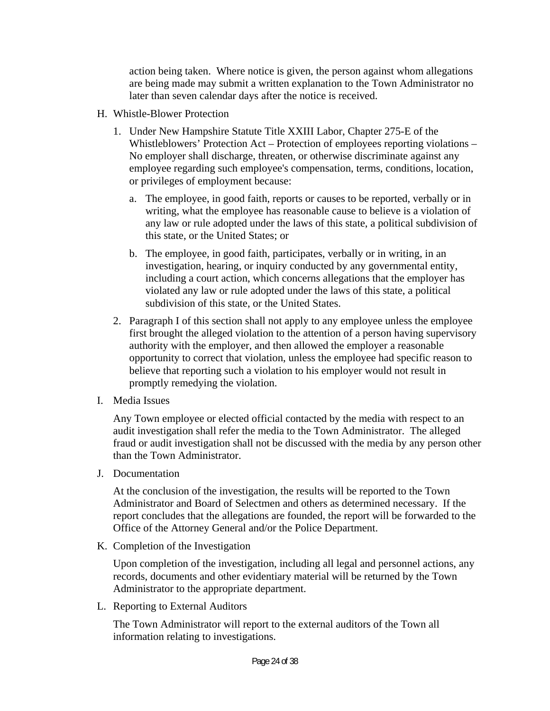action being taken. Where notice is given, the person against whom allegations are being made may submit a written explanation to the Town Administrator no later than seven calendar days after the notice is received.

- H. Whistle-Blower Protection
	- 1. Under New Hampshire Statute Title XXIII Labor, Chapter 275-E of the Whistleblowers' Protection Act – Protection of employees reporting violations – No employer shall discharge, threaten, or otherwise discriminate against any employee regarding such employee's compensation, terms, conditions, location, or privileges of employment because:
		- a. The employee, in good faith, reports or causes to be reported, verbally or in writing, what the employee has reasonable cause to believe is a violation of any law or rule adopted under the laws of this state, a political subdivision of this state, or the United States; or
		- b. The employee, in good faith, participates, verbally or in writing, in an investigation, hearing, or inquiry conducted by any governmental entity, including a court action, which concerns allegations that the employer has violated any law or rule adopted under the laws of this state, a political subdivision of this state, or the United States.
	- 2. Paragraph I of this section shall not apply to any employee unless the employee first brought the alleged violation to the attention of a person having supervisory authority with the employer, and then allowed the employer a reasonable opportunity to correct that violation, unless the employee had specific reason to believe that reporting such a violation to his employer would not result in promptly remedying the violation.
- I. Media Issues

Any Town employee or elected official contacted by the media with respect to an audit investigation shall refer the media to the Town Administrator. The alleged fraud or audit investigation shall not be discussed with the media by any person other than the Town Administrator.

J. Documentation

At the conclusion of the investigation, the results will be reported to the Town Administrator and Board of Selectmen and others as determined necessary. If the report concludes that the allegations are founded, the report will be forwarded to the Office of the Attorney General and/or the Police Department.

K. Completion of the Investigation

Upon completion of the investigation, including all legal and personnel actions, any records, documents and other evidentiary material will be returned by the Town Administrator to the appropriate department.

L. Reporting to External Auditors

The Town Administrator will report to the external auditors of the Town all information relating to investigations.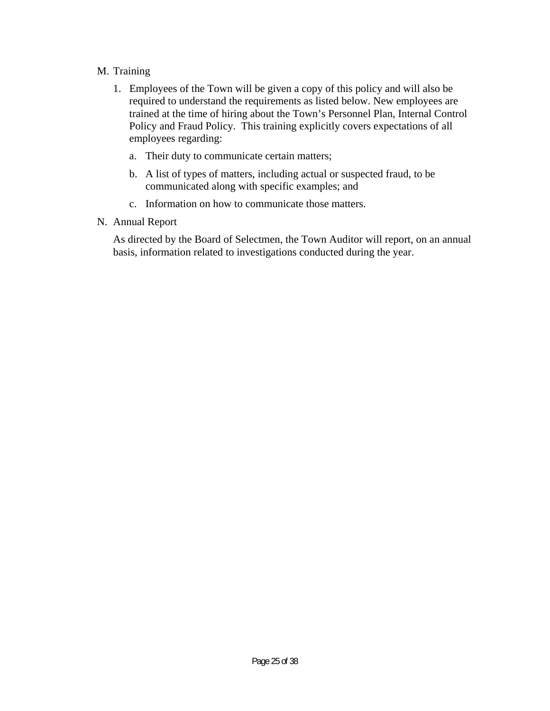### M. Training

- 1. Employees of the Town will be given a copy of this policy and will also be required to understand the requirements as listed below. New employees are trained at the time of hiring about the Town's Personnel Plan, Internal Control Policy and Fraud Policy. This training explicitly covers expectations of all employees regarding:
	- a. Their duty to communicate certain matters;
	- b. A list of types of matters, including actual or suspected fraud, to be communicated along with specific examples; and
	- c. Information on how to communicate those matters.
- N. Annual Report

As directed by the Board of Selectmen, the Town Auditor will report, on an annual basis, information related to investigations conducted during the year.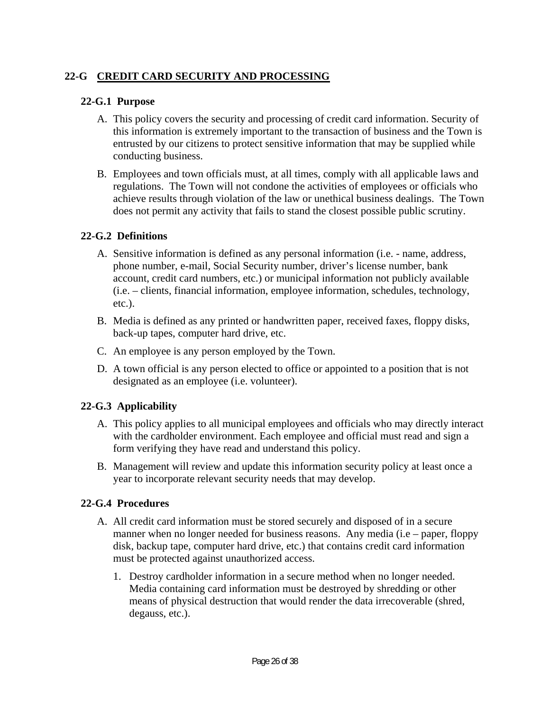# **22-G CREDIT CARD SECURITY AND PROCESSING**

### **22-G.1 Purpose**

- A. This policy covers the security and processing of credit card information. Security of this information is extremely important to the transaction of business and the Town is entrusted by our citizens to protect sensitive information that may be supplied while conducting business.
- B. Employees and town officials must, at all times, comply with all applicable laws and regulations. The Town will not condone the activities of employees or officials who achieve results through violation of the law or unethical business dealings. The Town does not permit any activity that fails to stand the closest possible public scrutiny.

### **22-G.2 Definitions**

- A. Sensitive information is defined as any personal information (i.e. name, address, phone number, e-mail, Social Security number, driver's license number, bank account, credit card numbers, etc.) or municipal information not publicly available (i.e. – clients, financial information, employee information, schedules, technology, etc.).
- B. Media is defined as any printed or handwritten paper, received faxes, floppy disks, back-up tapes, computer hard drive, etc.
- C. An employee is any person employed by the Town.
- D. A town official is any person elected to office or appointed to a position that is not designated as an employee (i.e. volunteer).

### **22-G.3 Applicability**

- A. This policy applies to all municipal employees and officials who may directly interact with the cardholder environment. Each employee and official must read and sign a form verifying they have read and understand this policy.
- B. Management will review and update this information security policy at least once a year to incorporate relevant security needs that may develop.

### **22-G.4 Procedures**

- A. All credit card information must be stored securely and disposed of in a secure manner when no longer needed for business reasons. Any media (i.e – paper, floppy disk, backup tape, computer hard drive, etc.) that contains credit card information must be protected against unauthorized access.
	- 1. Destroy cardholder information in a secure method when no longer needed. Media containing card information must be destroyed by shredding or other means of physical destruction that would render the data irrecoverable (shred, degauss, etc.).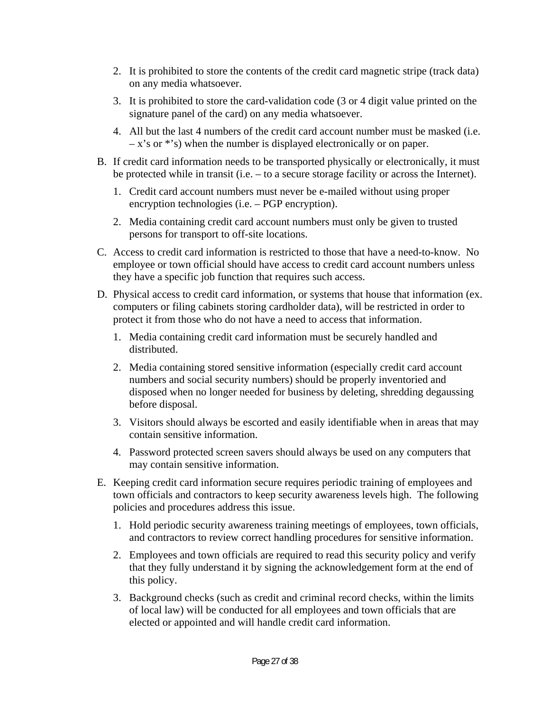- 2. It is prohibited to store the contents of the credit card magnetic stripe (track data) on any media whatsoever.
- 3. It is prohibited to store the card-validation code (3 or 4 digit value printed on the signature panel of the card) on any media whatsoever.
- 4. All but the last 4 numbers of the credit card account number must be masked (i.e.  $-x$ 's or \*'s) when the number is displayed electronically or on paper.
- B. If credit card information needs to be transported physically or electronically, it must be protected while in transit (i.e. – to a secure storage facility or across the Internet).
	- 1. Credit card account numbers must never be e-mailed without using proper encryption technologies (i.e. – PGP encryption).
	- 2. Media containing credit card account numbers must only be given to trusted persons for transport to off-site locations.
- C. Access to credit card information is restricted to those that have a need-to-know. No employee or town official should have access to credit card account numbers unless they have a specific job function that requires such access.
- D. Physical access to credit card information, or systems that house that information (ex. computers or filing cabinets storing cardholder data), will be restricted in order to protect it from those who do not have a need to access that information.
	- 1. Media containing credit card information must be securely handled and distributed.
	- 2. Media containing stored sensitive information (especially credit card account numbers and social security numbers) should be properly inventoried and disposed when no longer needed for business by deleting, shredding degaussing before disposal.
	- 3. Visitors should always be escorted and easily identifiable when in areas that may contain sensitive information.
	- 4. Password protected screen savers should always be used on any computers that may contain sensitive information.
- E. Keeping credit card information secure requires periodic training of employees and town officials and contractors to keep security awareness levels high. The following policies and procedures address this issue.
	- 1. Hold periodic security awareness training meetings of employees, town officials, and contractors to review correct handling procedures for sensitive information.
	- 2. Employees and town officials are required to read this security policy and verify that they fully understand it by signing the acknowledgement form at the end of this policy.
	- 3. Background checks (such as credit and criminal record checks, within the limits of local law) will be conducted for all employees and town officials that are elected or appointed and will handle credit card information.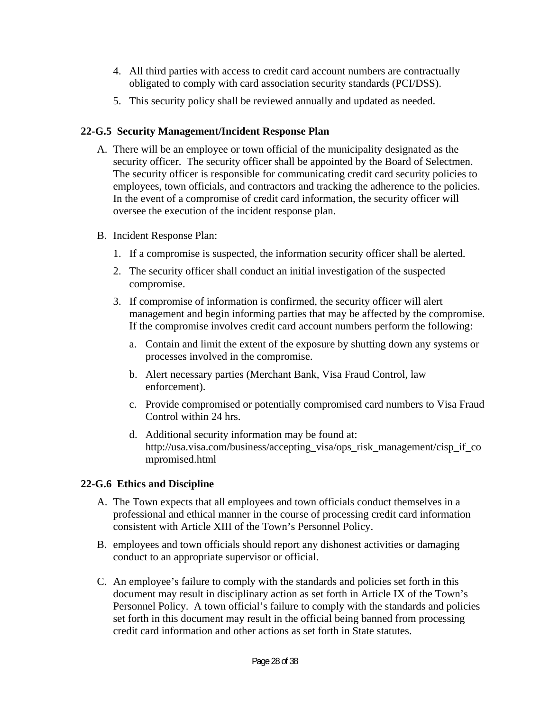- 4. All third parties with access to credit card account numbers are contractually obligated to comply with card association security standards (PCI/DSS).
- 5. This security policy shall be reviewed annually and updated as needed.

### **22-G.5 Security Management/Incident Response Plan**

- A. There will be an employee or town official of the municipality designated as the security officer. The security officer shall be appointed by the Board of Selectmen. The security officer is responsible for communicating credit card security policies to employees, town officials, and contractors and tracking the adherence to the policies. In the event of a compromise of credit card information, the security officer will oversee the execution of the incident response plan.
- B. Incident Response Plan:
	- 1. If a compromise is suspected, the information security officer shall be alerted.
	- 2. The security officer shall conduct an initial investigation of the suspected compromise.
	- 3. If compromise of information is confirmed, the security officer will alert management and begin informing parties that may be affected by the compromise. If the compromise involves credit card account numbers perform the following:
		- a. Contain and limit the extent of the exposure by shutting down any systems or processes involved in the compromise.
		- b. Alert necessary parties (Merchant Bank, Visa Fraud Control, law enforcement).
		- c. Provide compromised or potentially compromised card numbers to Visa Fraud Control within 24 hrs.
		- d. Additional security information may be found at: http://usa.visa.com/business/accepting\_visa/ops\_risk\_management/cisp\_if\_co mpromised.html

# **22-G.6 Ethics and Discipline**

- A. The Town expects that all employees and town officials conduct themselves in a professional and ethical manner in the course of processing credit card information consistent with Article XIII of the Town's Personnel Policy.
- B. employees and town officials should report any dishonest activities or damaging conduct to an appropriate supervisor or official.
- C. An employee's failure to comply with the standards and policies set forth in this document may result in disciplinary action as set forth in Article IX of the Town's Personnel Policy. A town official's failure to comply with the standards and policies set forth in this document may result in the official being banned from processing credit card information and other actions as set forth in State statutes.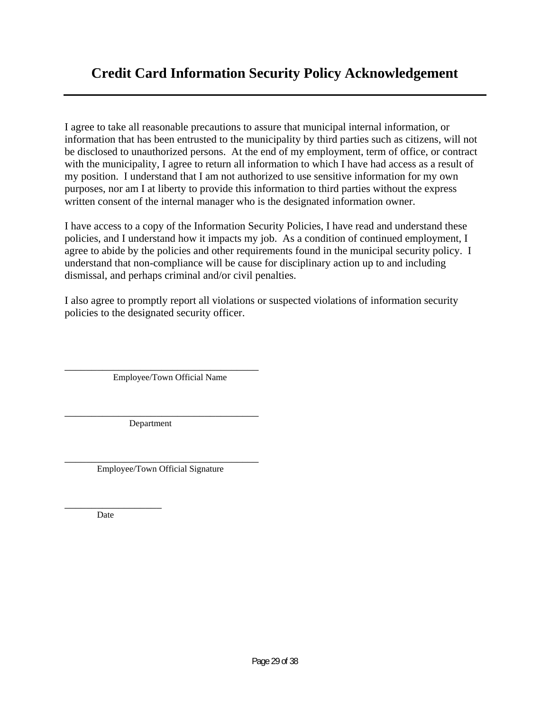I agree to take all reasonable precautions to assure that municipal internal information, or information that has been entrusted to the municipality by third parties such as citizens, will not be disclosed to unauthorized persons. At the end of my employment, term of office, or contract with the municipality, I agree to return all information to which I have had access as a result of my position. I understand that I am not authorized to use sensitive information for my own purposes, nor am I at liberty to provide this information to third parties without the express written consent of the internal manager who is the designated information owner.

I have access to a copy of the Information Security Policies, I have read and understand these policies, and I understand how it impacts my job. As a condition of continued employment, I agree to abide by the policies and other requirements found in the municipal security policy. I understand that non-compliance will be cause for disciplinary action up to and including dismissal, and perhaps criminal and/or civil penalties.

I also agree to promptly report all violations or suspected violations of information security policies to the designated security officer.

\_\_\_\_\_\_\_\_\_\_\_\_\_\_\_\_\_\_\_\_\_\_\_\_\_\_\_\_\_\_\_\_\_\_\_\_ Employee/Town Official Name

\_\_\_\_\_\_\_\_\_\_\_\_\_\_\_\_\_\_\_\_\_\_\_\_\_\_\_\_\_\_\_\_\_\_\_\_ Department

\_\_\_\_\_\_\_\_\_\_\_\_\_\_\_\_\_\_\_\_\_\_\_\_\_\_\_\_\_\_\_\_\_\_\_\_ Employee/Town Official Signature

\_\_\_\_\_\_\_\_\_\_\_\_\_\_\_\_\_\_ Date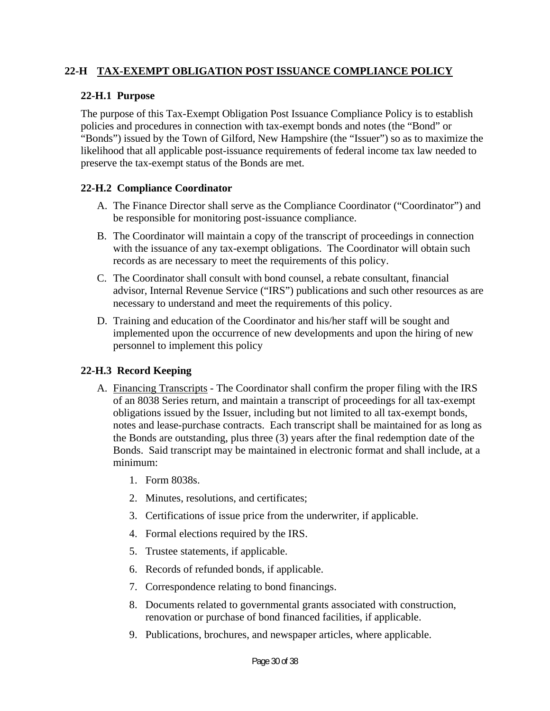### **22-H TAX-EXEMPT OBLIGATION POST ISSUANCE COMPLIANCE POLICY**

### **22-H.1 Purpose**

The purpose of this Tax-Exempt Obligation Post Issuance Compliance Policy is to establish policies and procedures in connection with tax-exempt bonds and notes (the "Bond" or "Bonds") issued by the Town of Gilford, New Hampshire (the "Issuer") so as to maximize the likelihood that all applicable post-issuance requirements of federal income tax law needed to preserve the tax-exempt status of the Bonds are met.

### **22-H.2 Compliance Coordinator**

- A. The Finance Director shall serve as the Compliance Coordinator ("Coordinator") and be responsible for monitoring post-issuance compliance.
- B. The Coordinator will maintain a copy of the transcript of proceedings in connection with the issuance of any tax-exempt obligations. The Coordinator will obtain such records as are necessary to meet the requirements of this policy.
- C. The Coordinator shall consult with bond counsel, a rebate consultant, financial advisor, Internal Revenue Service ("IRS") publications and such other resources as are necessary to understand and meet the requirements of this policy.
- D. Training and education of the Coordinator and his/her staff will be sought and implemented upon the occurrence of new developments and upon the hiring of new personnel to implement this policy

### **22-H.3 Record Keeping**

- A. Financing Transcripts The Coordinator shall confirm the proper filing with the IRS of an 8038 Series return, and maintain a transcript of proceedings for all tax-exempt obligations issued by the Issuer, including but not limited to all tax-exempt bonds, notes and lease-purchase contracts. Each transcript shall be maintained for as long as the Bonds are outstanding, plus three (3) years after the final redemption date of the Bonds. Said transcript may be maintained in electronic format and shall include, at a minimum:
	- 1. Form 8038s.
	- 2. Minutes, resolutions, and certificates;
	- 3. Certifications of issue price from the underwriter, if applicable.
	- 4. Formal elections required by the IRS.
	- 5. Trustee statements, if applicable.
	- 6. Records of refunded bonds, if applicable.
	- 7. Correspondence relating to bond financings.
	- 8. Documents related to governmental grants associated with construction, renovation or purchase of bond financed facilities, if applicable.
	- 9. Publications, brochures, and newspaper articles, where applicable.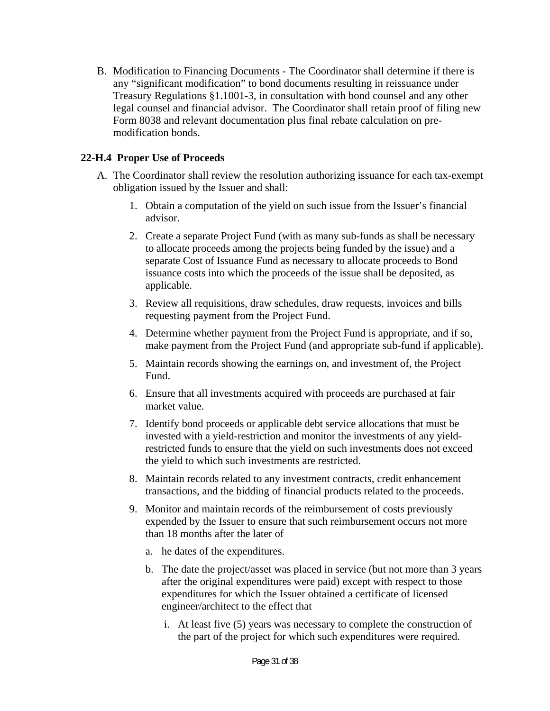B. Modification to Financing Documents - The Coordinator shall determine if there is any "significant modification" to bond documents resulting in reissuance under Treasury Regulations §1.1001-3, in consultation with bond counsel and any other legal counsel and financial advisor. The Coordinator shall retain proof of filing new Form 8038 and relevant documentation plus final rebate calculation on premodification bonds.

### **22-H.4 Proper Use of Proceeds**

- A. The Coordinator shall review the resolution authorizing issuance for each tax-exempt obligation issued by the Issuer and shall:
	- 1. Obtain a computation of the yield on such issue from the Issuer's financial advisor.
	- 2. Create a separate Project Fund (with as many sub-funds as shall be necessary to allocate proceeds among the projects being funded by the issue) and a separate Cost of Issuance Fund as necessary to allocate proceeds to Bond issuance costs into which the proceeds of the issue shall be deposited, as applicable.
	- 3. Review all requisitions, draw schedules, draw requests, invoices and bills requesting payment from the Project Fund.
	- 4. Determine whether payment from the Project Fund is appropriate, and if so, make payment from the Project Fund (and appropriate sub-fund if applicable).
	- 5. Maintain records showing the earnings on, and investment of, the Project Fund.
	- 6. Ensure that all investments acquired with proceeds are purchased at fair market value.
	- 7. Identify bond proceeds or applicable debt service allocations that must be invested with a yield-restriction and monitor the investments of any yieldrestricted funds to ensure that the yield on such investments does not exceed the yield to which such investments are restricted.
	- 8. Maintain records related to any investment contracts, credit enhancement transactions, and the bidding of financial products related to the proceeds.
	- 9. Monitor and maintain records of the reimbursement of costs previously expended by the Issuer to ensure that such reimbursement occurs not more than 18 months after the later of
		- a. he dates of the expenditures.
		- b. The date the project/asset was placed in service (but not more than 3 years after the original expenditures were paid) except with respect to those expenditures for which the Issuer obtained a certificate of licensed engineer/architect to the effect that
			- i. At least five (5) years was necessary to complete the construction of the part of the project for which such expenditures were required.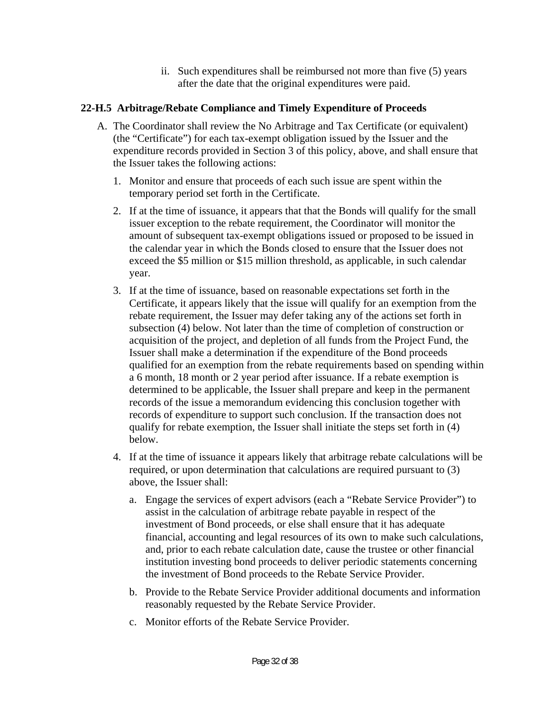ii. Such expenditures shall be reimbursed not more than five (5) years after the date that the original expenditures were paid.

### **22-H.5 Arbitrage/Rebate Compliance and Timely Expenditure of Proceeds**

- A. The Coordinator shall review the No Arbitrage and Tax Certificate (or equivalent) (the "Certificate") for each tax-exempt obligation issued by the Issuer and the expenditure records provided in Section 3 of this policy, above, and shall ensure that the Issuer takes the following actions:
	- 1. Monitor and ensure that proceeds of each such issue are spent within the temporary period set forth in the Certificate.
	- 2. If at the time of issuance, it appears that that the Bonds will qualify for the small issuer exception to the rebate requirement, the Coordinator will monitor the amount of subsequent tax-exempt obligations issued or proposed to be issued in the calendar year in which the Bonds closed to ensure that the Issuer does not exceed the \$5 million or \$15 million threshold, as applicable, in such calendar year.
	- 3. If at the time of issuance, based on reasonable expectations set forth in the Certificate, it appears likely that the issue will qualify for an exemption from the rebate requirement, the Issuer may defer taking any of the actions set forth in subsection (4) below. Not later than the time of completion of construction or acquisition of the project, and depletion of all funds from the Project Fund, the Issuer shall make a determination if the expenditure of the Bond proceeds qualified for an exemption from the rebate requirements based on spending within a 6 month, 18 month or 2 year period after issuance. If a rebate exemption is determined to be applicable, the Issuer shall prepare and keep in the permanent records of the issue a memorandum evidencing this conclusion together with records of expenditure to support such conclusion. If the transaction does not qualify for rebate exemption, the Issuer shall initiate the steps set forth in (4) below.
	- 4. If at the time of issuance it appears likely that arbitrage rebate calculations will be required, or upon determination that calculations are required pursuant to (3) above, the Issuer shall:
		- a. Engage the services of expert advisors (each a "Rebate Service Provider") to assist in the calculation of arbitrage rebate payable in respect of the investment of Bond proceeds, or else shall ensure that it has adequate financial, accounting and legal resources of its own to make such calculations, and, prior to each rebate calculation date, cause the trustee or other financial institution investing bond proceeds to deliver periodic statements concerning the investment of Bond proceeds to the Rebate Service Provider.
		- b. Provide to the Rebate Service Provider additional documents and information reasonably requested by the Rebate Service Provider.
		- c. Monitor efforts of the Rebate Service Provider.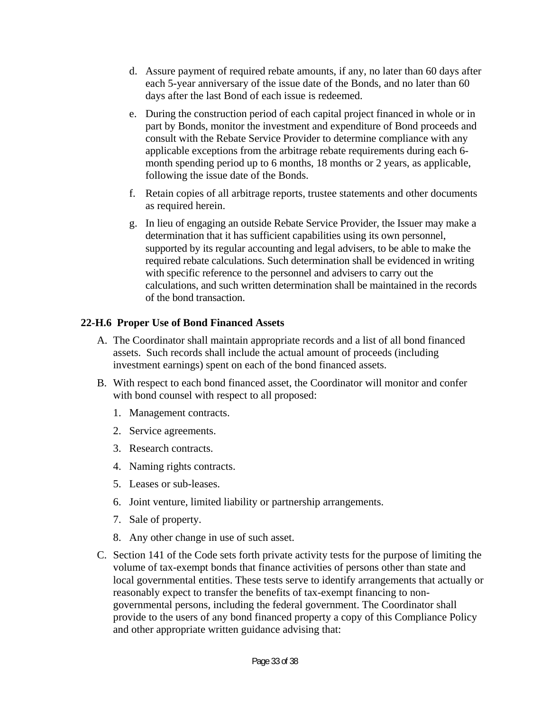- d. Assure payment of required rebate amounts, if any, no later than 60 days after each 5-year anniversary of the issue date of the Bonds, and no later than 60 days after the last Bond of each issue is redeemed.
- e. During the construction period of each capital project financed in whole or in part by Bonds, monitor the investment and expenditure of Bond proceeds and consult with the Rebate Service Provider to determine compliance with any applicable exceptions from the arbitrage rebate requirements during each 6 month spending period up to 6 months, 18 months or 2 years, as applicable, following the issue date of the Bonds.
- f. Retain copies of all arbitrage reports, trustee statements and other documents as required herein.
- g. In lieu of engaging an outside Rebate Service Provider, the Issuer may make a determination that it has sufficient capabilities using its own personnel, supported by its regular accounting and legal advisers, to be able to make the required rebate calculations. Such determination shall be evidenced in writing with specific reference to the personnel and advisers to carry out the calculations, and such written determination shall be maintained in the records of the bond transaction.

### **22-H.6 Proper Use of Bond Financed Assets**

- A. The Coordinator shall maintain appropriate records and a list of all bond financed assets. Such records shall include the actual amount of proceeds (including investment earnings) spent on each of the bond financed assets.
- B. With respect to each bond financed asset, the Coordinator will monitor and confer with bond counsel with respect to all proposed:
	- 1. Management contracts.
	- 2. Service agreements.
	- 3. Research contracts.
	- 4. Naming rights contracts.
	- 5. Leases or sub-leases.
	- 6. Joint venture, limited liability or partnership arrangements.
	- 7. Sale of property.
	- 8. Any other change in use of such asset.
- C. Section 141 of the Code sets forth private activity tests for the purpose of limiting the volume of tax-exempt bonds that finance activities of persons other than state and local governmental entities. These tests serve to identify arrangements that actually or reasonably expect to transfer the benefits of tax-exempt financing to nongovernmental persons, including the federal government. The Coordinator shall provide to the users of any bond financed property a copy of this Compliance Policy and other appropriate written guidance advising that: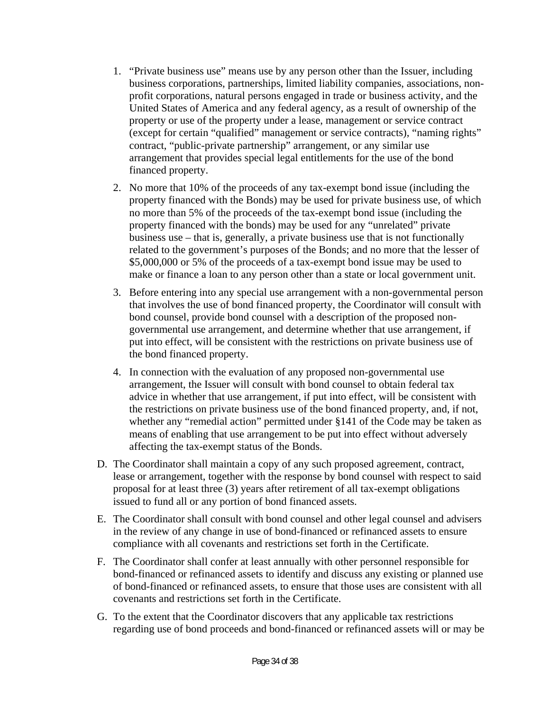- 1. "Private business use" means use by any person other than the Issuer, including business corporations, partnerships, limited liability companies, associations, nonprofit corporations, natural persons engaged in trade or business activity, and the United States of America and any federal agency, as a result of ownership of the property or use of the property under a lease, management or service contract (except for certain "qualified" management or service contracts), "naming rights" contract, "public-private partnership" arrangement, or any similar use arrangement that provides special legal entitlements for the use of the bond financed property.
- 2. No more that 10% of the proceeds of any tax-exempt bond issue (including the property financed with the Bonds) may be used for private business use, of which no more than 5% of the proceeds of the tax-exempt bond issue (including the property financed with the bonds) may be used for any "unrelated" private business use – that is, generally, a private business use that is not functionally related to the government's purposes of the Bonds; and no more that the lesser of \$5,000,000 or 5% of the proceeds of a tax-exempt bond issue may be used to make or finance a loan to any person other than a state or local government unit.
- 3. Before entering into any special use arrangement with a non-governmental person that involves the use of bond financed property, the Coordinator will consult with bond counsel, provide bond counsel with a description of the proposed nongovernmental use arrangement, and determine whether that use arrangement, if put into effect, will be consistent with the restrictions on private business use of the bond financed property.
- 4. In connection with the evaluation of any proposed non-governmental use arrangement, the Issuer will consult with bond counsel to obtain federal tax advice in whether that use arrangement, if put into effect, will be consistent with the restrictions on private business use of the bond financed property, and, if not, whether any "remedial action" permitted under §141 of the Code may be taken as means of enabling that use arrangement to be put into effect without adversely affecting the tax-exempt status of the Bonds.
- D. The Coordinator shall maintain a copy of any such proposed agreement, contract, lease or arrangement, together with the response by bond counsel with respect to said proposal for at least three (3) years after retirement of all tax-exempt obligations issued to fund all or any portion of bond financed assets.
- E. The Coordinator shall consult with bond counsel and other legal counsel and advisers in the review of any change in use of bond-financed or refinanced assets to ensure compliance with all covenants and restrictions set forth in the Certificate.
- F. The Coordinator shall confer at least annually with other personnel responsible for bond-financed or refinanced assets to identify and discuss any existing or planned use of bond-financed or refinanced assets, to ensure that those uses are consistent with all covenants and restrictions set forth in the Certificate.
- G. To the extent that the Coordinator discovers that any applicable tax restrictions regarding use of bond proceeds and bond-financed or refinanced assets will or may be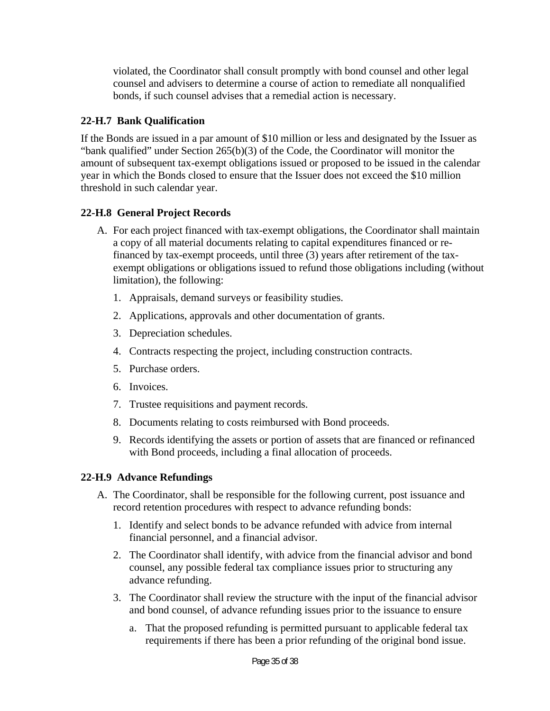violated, the Coordinator shall consult promptly with bond counsel and other legal counsel and advisers to determine a course of action to remediate all nonqualified bonds, if such counsel advises that a remedial action is necessary.

### **22-H.7 Bank Qualification**

If the Bonds are issued in a par amount of \$10 million or less and designated by the Issuer as "bank qualified" under Section 265(b)(3) of the Code, the Coordinator will monitor the amount of subsequent tax-exempt obligations issued or proposed to be issued in the calendar year in which the Bonds closed to ensure that the Issuer does not exceed the \$10 million threshold in such calendar year.

# **22-H.8 General Project Records**

- A. For each project financed with tax-exempt obligations, the Coordinator shall maintain a copy of all material documents relating to capital expenditures financed or refinanced by tax-exempt proceeds, until three (3) years after retirement of the taxexempt obligations or obligations issued to refund those obligations including (without limitation), the following:
	- 1. Appraisals, demand surveys or feasibility studies.
	- 2. Applications, approvals and other documentation of grants.
	- 3. Depreciation schedules.
	- 4. Contracts respecting the project, including construction contracts.
	- 5. Purchase orders.
	- 6. Invoices.
	- 7. Trustee requisitions and payment records.
	- 8. Documents relating to costs reimbursed with Bond proceeds.
	- 9. Records identifying the assets or portion of assets that are financed or refinanced with Bond proceeds, including a final allocation of proceeds.

# **22-H.9 Advance Refundings**

- A. The Coordinator, shall be responsible for the following current, post issuance and record retention procedures with respect to advance refunding bonds:
	- 1. Identify and select bonds to be advance refunded with advice from internal financial personnel, and a financial advisor.
	- 2. The Coordinator shall identify, with advice from the financial advisor and bond counsel, any possible federal tax compliance issues prior to structuring any advance refunding.
	- 3. The Coordinator shall review the structure with the input of the financial advisor and bond counsel, of advance refunding issues prior to the issuance to ensure
		- a. That the proposed refunding is permitted pursuant to applicable federal tax requirements if there has been a prior refunding of the original bond issue.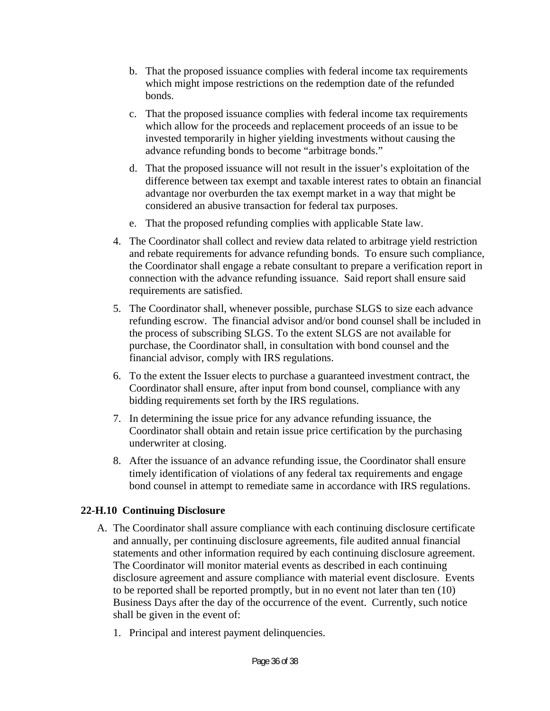- b. That the proposed issuance complies with federal income tax requirements which might impose restrictions on the redemption date of the refunded bonds.
- c. That the proposed issuance complies with federal income tax requirements which allow for the proceeds and replacement proceeds of an issue to be invested temporarily in higher yielding investments without causing the advance refunding bonds to become "arbitrage bonds."
- d. That the proposed issuance will not result in the issuer's exploitation of the difference between tax exempt and taxable interest rates to obtain an financial advantage nor overburden the tax exempt market in a way that might be considered an abusive transaction for federal tax purposes.
- e. That the proposed refunding complies with applicable State law.
- 4. The Coordinator shall collect and review data related to arbitrage yield restriction and rebate requirements for advance refunding bonds. To ensure such compliance, the Coordinator shall engage a rebate consultant to prepare a verification report in connection with the advance refunding issuance. Said report shall ensure said requirements are satisfied.
- 5. The Coordinator shall, whenever possible, purchase SLGS to size each advance refunding escrow. The financial advisor and/or bond counsel shall be included in the process of subscribing SLGS. To the extent SLGS are not available for purchase, the Coordinator shall, in consultation with bond counsel and the financial advisor, comply with IRS regulations.
- 6. To the extent the Issuer elects to purchase a guaranteed investment contract, the Coordinator shall ensure, after input from bond counsel, compliance with any bidding requirements set forth by the IRS regulations.
- 7. In determining the issue price for any advance refunding issuance, the Coordinator shall obtain and retain issue price certification by the purchasing underwriter at closing.
- 8. After the issuance of an advance refunding issue, the Coordinator shall ensure timely identification of violations of any federal tax requirements and engage bond counsel in attempt to remediate same in accordance with IRS regulations.

### **22-H.10 Continuing Disclosure**

- A. The Coordinator shall assure compliance with each continuing disclosure certificate and annually, per continuing disclosure agreements, file audited annual financial statements and other information required by each continuing disclosure agreement. The Coordinator will monitor material events as described in each continuing disclosure agreement and assure compliance with material event disclosure. Events to be reported shall be reported promptly, but in no event not later than ten (10) Business Days after the day of the occurrence of the event. Currently, such notice shall be given in the event of:
	- 1. Principal and interest payment delinquencies.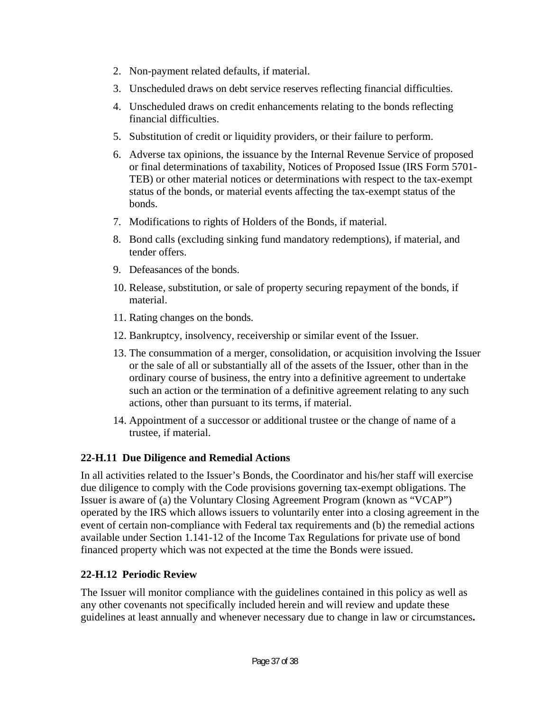- 2. Non-payment related defaults, if material.
- 3. Unscheduled draws on debt service reserves reflecting financial difficulties.
- 4. Unscheduled draws on credit enhancements relating to the bonds reflecting financial difficulties.
- 5. Substitution of credit or liquidity providers, or their failure to perform.
- 6. Adverse tax opinions, the issuance by the Internal Revenue Service of proposed or final determinations of taxability, Notices of Proposed Issue (IRS Form 5701- TEB) or other material notices or determinations with respect to the tax-exempt status of the bonds, or material events affecting the tax-exempt status of the bonds.
- 7. Modifications to rights of Holders of the Bonds, if material.
- 8. Bond calls (excluding sinking fund mandatory redemptions), if material, and tender offers.
- 9. Defeasances of the bonds.
- 10. Release, substitution, or sale of property securing repayment of the bonds, if material.
- 11. Rating changes on the bonds.
- 12. Bankruptcy, insolvency, receivership or similar event of the Issuer.
- 13. The consummation of a merger, consolidation, or acquisition involving the Issuer or the sale of all or substantially all of the assets of the Issuer, other than in the ordinary course of business, the entry into a definitive agreement to undertake such an action or the termination of a definitive agreement relating to any such actions, other than pursuant to its terms, if material.
- 14. Appointment of a successor or additional trustee or the change of name of a trustee, if material.

# **22-H.11 Due Diligence and Remedial Actions**

In all activities related to the Issuer's Bonds, the Coordinator and his/her staff will exercise due diligence to comply with the Code provisions governing tax-exempt obligations. The Issuer is aware of (a) the Voluntary Closing Agreement Program (known as "VCAP") operated by the IRS which allows issuers to voluntarily enter into a closing agreement in the event of certain non-compliance with Federal tax requirements and (b) the remedial actions available under Section 1.141-12 of the Income Tax Regulations for private use of bond financed property which was not expected at the time the Bonds were issued.

# **22-H.12 Periodic Review**

The Issuer will monitor compliance with the guidelines contained in this policy as well as any other covenants not specifically included herein and will review and update these guidelines at least annually and whenever necessary due to change in law or circumstances**.**